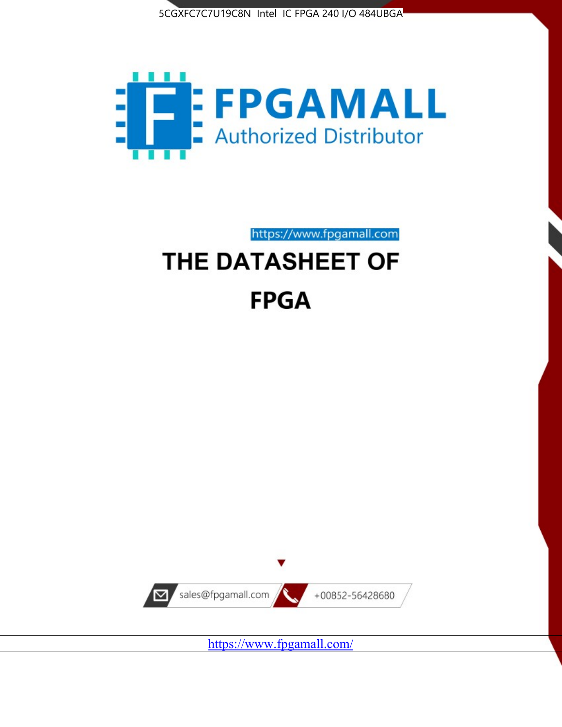



# https://www.fpgamall.com THE DATASHEET OF **FPGA**



<https://www.fpgamall.com/>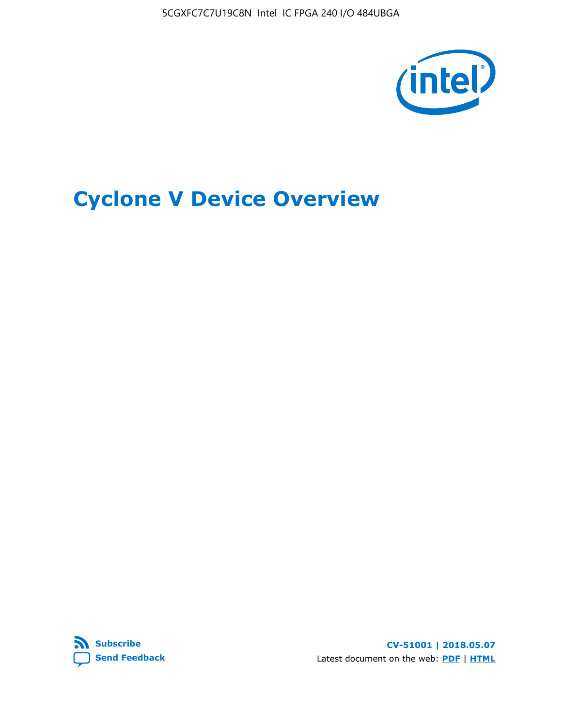5CGXFC7C7U19C8N Intel IC FPGA 240 I/O 484UBGA



# **Cyclone V Device Overview**



**CV-51001 | 2018.05.07** Latest document on the web: **[PDF](https://www.altera.com/en_US/pdfs/literature/hb/cyclone-v/cv_51001.pdf)** | **[HTML](https://www.altera.com/documentation/sam1403480548153.html)**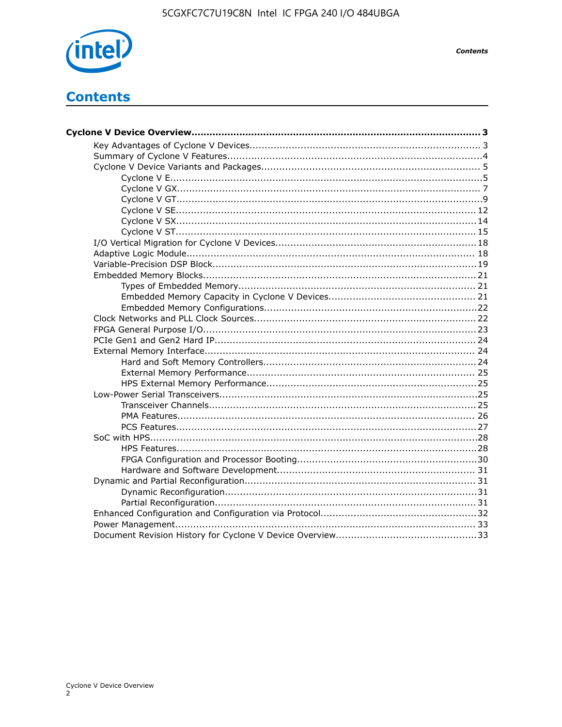

**Contents** 

## **Contents**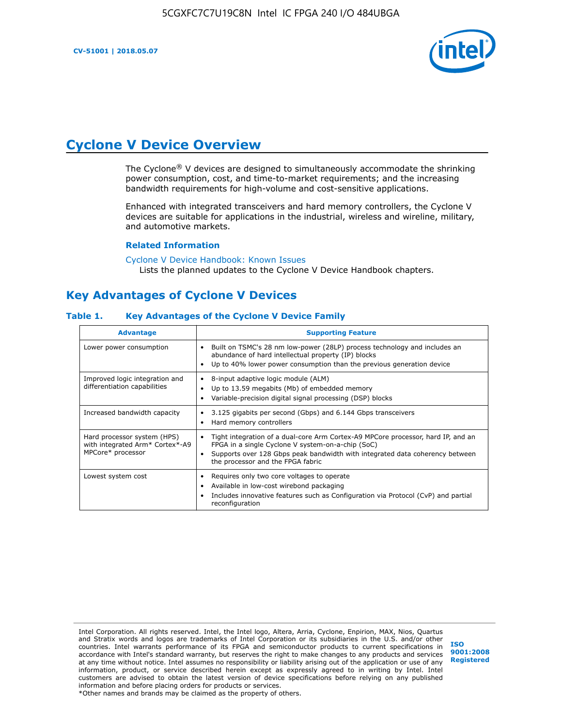**CV-51001 | 2018.05.07**



## **Cyclone V Device Overview**

The Cyclone® V devices are designed to simultaneously accommodate the shrinking power consumption, cost, and time-to-market requirements; and the increasing bandwidth requirements for high-volume and cost-sensitive applications.

Enhanced with integrated transceivers and hard memory controllers, the Cyclone V devices are suitable for applications in the industrial, wireless and wireline, military, and automotive markets.

#### **Related Information**

#### [Cyclone V Device Handbook: Known Issues](https://www.altera.com/support/support-resources/knowledge-base/solutions/rd12152011_347.html) Lists the planned updates to the Cyclone V Device Handbook chapters.

### **Key Advantages of Cyclone V Devices**

#### **Table 1. Key Advantages of the Cyclone V Device Family**

| <b>Advantage</b>                                                                    | <b>Supporting Feature</b>                                                                                                                                                                                                                                                    |
|-------------------------------------------------------------------------------------|------------------------------------------------------------------------------------------------------------------------------------------------------------------------------------------------------------------------------------------------------------------------------|
| Lower power consumption                                                             | Built on TSMC's 28 nm low-power (28LP) process technology and includes an<br>٠<br>abundance of hard intellectual property (IP) blocks<br>Up to 40% lower power consumption than the previous generation device<br>٠                                                          |
| Improved logic integration and<br>differentiation capabilities                      | 8-input adaptive logic module (ALM)<br>٠<br>Up to 13.59 megabits (Mb) of embedded memory<br>٠<br>Variable-precision digital signal processing (DSP) blocks<br>٠                                                                                                              |
| Increased bandwidth capacity                                                        | 3.125 gigabits per second (Gbps) and 6.144 Gbps transceivers<br>٠<br>Hard memory controllers<br>٠                                                                                                                                                                            |
| Hard processor system (HPS)<br>with integrated Arm* Cortex*-A9<br>MPCore* processor | Tight integration of a dual-core Arm Cortex-A9 MPCore processor, hard IP, and an<br>$\bullet$<br>FPGA in a single Cyclone V system-on-a-chip (SoC)<br>Supports over 128 Gbps peak bandwidth with integrated data coherency between<br>٠<br>the processor and the FPGA fabric |
| Lowest system cost                                                                  | Requires only two core voltages to operate<br>٠<br>Available in low-cost wirebond packaging<br>٠<br>Includes innovative features such as Configuration via Protocol (CvP) and partial<br>٠<br>reconfiguration                                                                |

Intel Corporation. All rights reserved. Intel, the Intel logo, Altera, Arria, Cyclone, Enpirion, MAX, Nios, Quartus and Stratix words and logos are trademarks of Intel Corporation or its subsidiaries in the U.S. and/or other countries. Intel warrants performance of its FPGA and semiconductor products to current specifications in accordance with Intel's standard warranty, but reserves the right to make changes to any products and services at any time without notice. Intel assumes no responsibility or liability arising out of the application or use of any information, product, or service described herein except as expressly agreed to in writing by Intel. Intel customers are advised to obtain the latest version of device specifications before relying on any published information and before placing orders for products or services. \*Other names and brands may be claimed as the property of others.

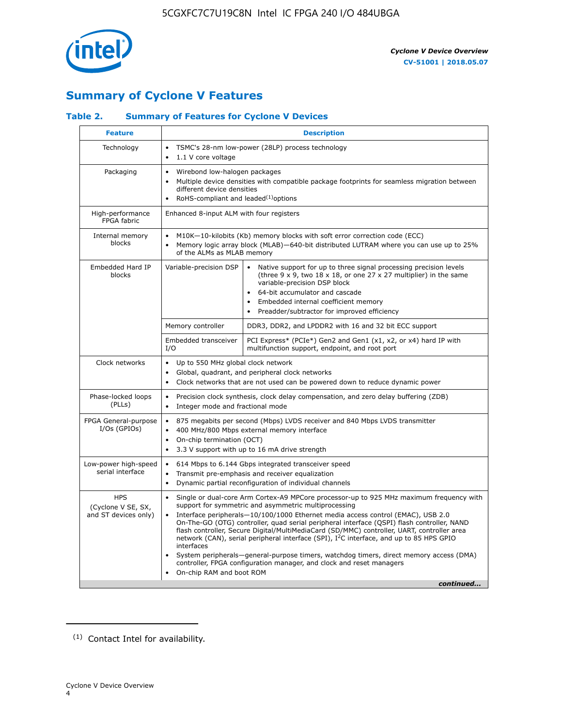

### **Summary of Cyclone V Features**

### **Table 2. Summary of Features for Cyclone V Devices**

| <b>Feature</b>                                           | <b>Description</b>                                                                                                                                                                                                                                                                                                                        |                                                                                                                                                                                                                                                                                                                                                                                                                                                                                                                                                                                                                                                                                                         |  |  |  |  |  |  |
|----------------------------------------------------------|-------------------------------------------------------------------------------------------------------------------------------------------------------------------------------------------------------------------------------------------------------------------------------------------------------------------------------------------|---------------------------------------------------------------------------------------------------------------------------------------------------------------------------------------------------------------------------------------------------------------------------------------------------------------------------------------------------------------------------------------------------------------------------------------------------------------------------------------------------------------------------------------------------------------------------------------------------------------------------------------------------------------------------------------------------------|--|--|--|--|--|--|
| Technology                                               | TSMC's 28-nm low-power (28LP) process technology<br>$\bullet$<br>1.1 V core voltage<br>$\bullet$                                                                                                                                                                                                                                          |                                                                                                                                                                                                                                                                                                                                                                                                                                                                                                                                                                                                                                                                                                         |  |  |  |  |  |  |
| Packaging                                                | $\bullet$                                                                                                                                                                                                                                                                                                                                 | Wirebond low-halogen packages<br>Multiple device densities with compatible package footprints for seamless migration between<br>different device densities<br>RoHS-compliant and leaded $(1)$ options                                                                                                                                                                                                                                                                                                                                                                                                                                                                                                   |  |  |  |  |  |  |
| High-performance<br>FPGA fabric                          | Enhanced 8-input ALM with four registers                                                                                                                                                                                                                                                                                                  |                                                                                                                                                                                                                                                                                                                                                                                                                                                                                                                                                                                                                                                                                                         |  |  |  |  |  |  |
| Internal memory<br>blocks                                | of the ALMs as MLAB memory                                                                                                                                                                                                                                                                                                                | M10K-10-kilobits (Kb) memory blocks with soft error correction code (ECC)<br>Memory logic array block (MLAB)-640-bit distributed LUTRAM where you can use up to 25%                                                                                                                                                                                                                                                                                                                                                                                                                                                                                                                                     |  |  |  |  |  |  |
| Embedded Hard IP<br>blocks                               | Variable-precision DSP<br>Native support for up to three signal processing precision levels<br>(three $9 \times 9$ , two $18 \times 18$ , or one 27 x 27 multiplier) in the same<br>variable-precision DSP block<br>64-bit accumulator and cascade<br>Embedded internal coefficient memory<br>Preadder/subtractor for improved efficiency |                                                                                                                                                                                                                                                                                                                                                                                                                                                                                                                                                                                                                                                                                                         |  |  |  |  |  |  |
|                                                          | Memory controller                                                                                                                                                                                                                                                                                                                         | DDR3, DDR2, and LPDDR2 with 16 and 32 bit ECC support                                                                                                                                                                                                                                                                                                                                                                                                                                                                                                                                                                                                                                                   |  |  |  |  |  |  |
|                                                          | Embedded transceiver<br>I/O                                                                                                                                                                                                                                                                                                               | PCI Express* (PCIe*) Gen2 and Gen1 (x1, x2, or x4) hard IP with<br>multifunction support, endpoint, and root port                                                                                                                                                                                                                                                                                                                                                                                                                                                                                                                                                                                       |  |  |  |  |  |  |
| Clock networks                                           | Up to 550 MHz global clock network<br>$\bullet$<br>$\bullet$                                                                                                                                                                                                                                                                              | Global, quadrant, and peripheral clock networks<br>Clock networks that are not used can be powered down to reduce dynamic power                                                                                                                                                                                                                                                                                                                                                                                                                                                                                                                                                                         |  |  |  |  |  |  |
| Phase-locked loops<br>(PLLs)                             | $\bullet$<br>Integer mode and fractional mode<br>$\bullet$                                                                                                                                                                                                                                                                                | Precision clock synthesis, clock delay compensation, and zero delay buffering (ZDB)                                                                                                                                                                                                                                                                                                                                                                                                                                                                                                                                                                                                                     |  |  |  |  |  |  |
| FPGA General-purpose<br>$I/Os$ (GPIOs)                   | $\bullet$<br>$\bullet$<br>On-chip termination (OCT)<br>$\bullet$                                                                                                                                                                                                                                                                          | 875 megabits per second (Mbps) LVDS receiver and 840 Mbps LVDS transmitter<br>400 MHz/800 Mbps external memory interface<br>3.3 V support with up to 16 mA drive strength                                                                                                                                                                                                                                                                                                                                                                                                                                                                                                                               |  |  |  |  |  |  |
| Low-power high-speed<br>serial interface                 | 614 Mbps to 6.144 Gbps integrated transceiver speed<br>$\bullet$<br>Transmit pre-emphasis and receiver equalization<br>$\bullet$<br>Dynamic partial reconfiguration of individual channels<br>$\bullet$                                                                                                                                   |                                                                                                                                                                                                                                                                                                                                                                                                                                                                                                                                                                                                                                                                                                         |  |  |  |  |  |  |
| <b>HPS</b><br>(Cyclone V SE, SX,<br>and ST devices only) | $\bullet$<br>$\bullet$<br>interfaces<br>On-chip RAM and boot ROM                                                                                                                                                                                                                                                                          | Single or dual-core Arm Cortex-A9 MPCore processor-up to 925 MHz maximum frequency with<br>support for symmetric and asymmetric multiprocessing<br>Interface peripherals-10/100/1000 Ethernet media access control (EMAC), USB 2.0<br>On-The-GO (OTG) controller, quad serial peripheral interface (QSPI) flash controller, NAND<br>flash controller, Secure Digital/MultiMediaCard (SD/MMC) controller, UART, controller area<br>network (CAN), serial peripheral interface (SPI), I <sup>2</sup> C interface, and up to 85 HPS GPIO<br>System peripherals—general-purpose timers, watchdog timers, direct memory access (DMA)<br>controller, FPGA configuration manager, and clock and reset managers |  |  |  |  |  |  |
|                                                          |                                                                                                                                                                                                                                                                                                                                           | continued                                                                                                                                                                                                                                                                                                                                                                                                                                                                                                                                                                                                                                                                                               |  |  |  |  |  |  |

<sup>(1)</sup> Contact Intel for availability.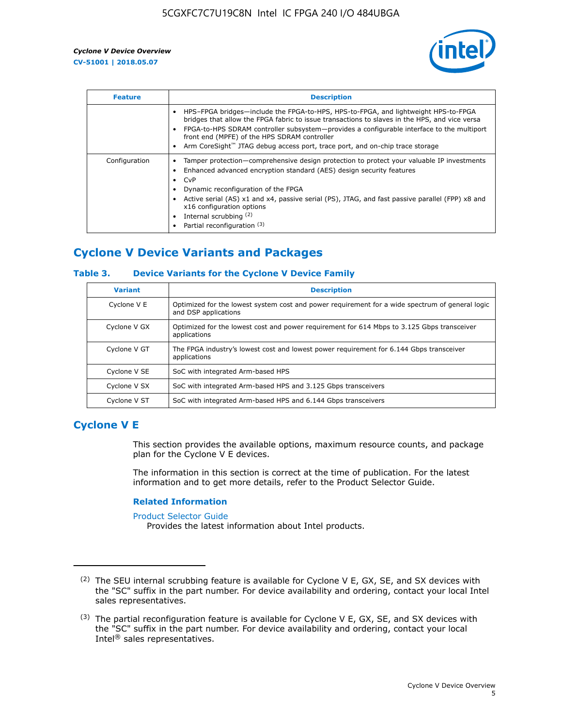

| <b>Feature</b> | <b>Description</b>                                                                                                                                                                                                                                                                                                                                                                                                    |
|----------------|-----------------------------------------------------------------------------------------------------------------------------------------------------------------------------------------------------------------------------------------------------------------------------------------------------------------------------------------------------------------------------------------------------------------------|
|                | HPS-FPGA bridges—include the FPGA-to-HPS, HPS-to-FPGA, and lightweight HPS-to-FPGA<br>bridges that allow the FPGA fabric to issue transactions to slaves in the HPS, and vice versa<br>FPGA-to-HPS SDRAM controller subsystem-provides a configurable interface to the multiport<br>front end (MPFE) of the HPS SDRAM controller<br>Arm CoreSight™ JTAG debug access port, trace port, and on-chip trace storage      |
| Configuration  | Tamper protection—comprehensive design protection to protect your valuable IP investments<br>Enhanced advanced encryption standard (AES) design security features<br>CvP<br>$\bullet$<br>Dynamic reconfiguration of the FPGA<br>Active serial (AS) x1 and x4, passive serial (PS), JTAG, and fast passive parallel (FPP) x8 and<br>x16 configuration options<br>Internal scrubbing (2)<br>Partial reconfiguration (3) |

### **Cyclone V Device Variants and Packages**

### **Table 3. Device Variants for the Cyclone V Device Family**

| <b>Variant</b> | <b>Description</b>                                                                                                      |
|----------------|-------------------------------------------------------------------------------------------------------------------------|
| Cyclone V E    | Optimized for the lowest system cost and power requirement for a wide spectrum of general logic<br>and DSP applications |
| Cyclone V GX   | Optimized for the lowest cost and power requirement for 614 Mbps to 3.125 Gbps transceiver<br>applications              |
| Cyclone V GT   | The FPGA industry's lowest cost and lowest power requirement for 6.144 Gbps transceiver<br>applications                 |
| Cyclone V SE   | SoC with integrated Arm-based HPS                                                                                       |
| Cyclone V SX   | SoC with integrated Arm-based HPS and 3.125 Gbps transceivers                                                           |
| Cyclone V ST   | SoC with integrated Arm-based HPS and 6.144 Gbps transceivers                                                           |

### **Cyclone V E**

This section provides the available options, maximum resource counts, and package plan for the Cyclone V E devices.

The information in this section is correct at the time of publication. For the latest information and to get more details, refer to the Product Selector Guide.

#### **Related Information**

[Product Selector Guide](https://www.altera.com/products/product-selector-guide.html)

Provides the latest information about Intel products.

<sup>(2)</sup> The SEU internal scrubbing feature is available for Cyclone V E, GX, SE, and SX devices with the "SC" suffix in the part number. For device availability and ordering, contact your local Intel sales representatives.

 $(3)$  The partial reconfiguration feature is available for Cyclone V E, GX, SE, and SX devices with the "SC" suffix in the part number. For device availability and ordering, contact your local Intel® sales representatives.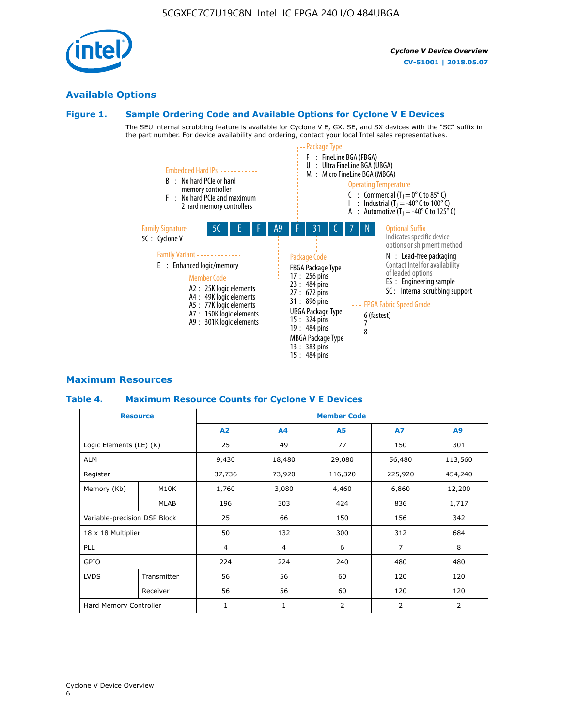### **Available Options**

### **Figure 1. Sample Ordering Code and Available Options for Cyclone V E Devices**

The SEU internal scrubbing feature is available for Cyclone V E, GX, SE, and SX devices with the "SC" suffix in the part number. For device availability and ordering, contact your local Intel sales representatives.



### **Maximum Resources**

### **Table 4. Maximum Resource Counts for Cyclone V E Devices**

|                              | <b>Resource</b> | <b>Member Code</b> |                |           |                |         |  |  |
|------------------------------|-----------------|--------------------|----------------|-----------|----------------|---------|--|--|
|                              |                 | A2                 | A <sub>4</sub> | <b>A5</b> | A7             | A9      |  |  |
| Logic Elements (LE) (K)      |                 | 25                 | 49             | 77        | 150            | 301     |  |  |
| <b>ALM</b>                   |                 | 9,430              | 18,480         | 29,080    | 56,480         | 113,560 |  |  |
| Register                     |                 | 37,736             | 73,920         | 116,320   | 225,920        | 454,240 |  |  |
| Memory (Kb)                  | M10K            | 1,760              | 3,080          | 4,460     | 6,860          | 12,200  |  |  |
|                              | <b>MLAB</b>     | 196                | 303            | 424       | 836            | 1,717   |  |  |
| Variable-precision DSP Block |                 | 25                 | 66             | 150       | 156            | 342     |  |  |
| 18 x 18 Multiplier           |                 | 50                 | 132            | 300       | 312            | 684     |  |  |
| PLL                          |                 | $\overline{4}$     | $\overline{4}$ | 6         | $\overline{7}$ | 8       |  |  |
| GPIO                         |                 | 224                | 224            | 240       | 480            | 480     |  |  |
| <b>LVDS</b>                  | Transmitter     | 56                 | 56             | 60        | 120            | 120     |  |  |
|                              | Receiver        | 56                 | 56             | 60        | 120            | 120     |  |  |
| Hard Memory Controller       |                 | $\mathbf{1}$       | 1              | 2         | 2              | 2       |  |  |

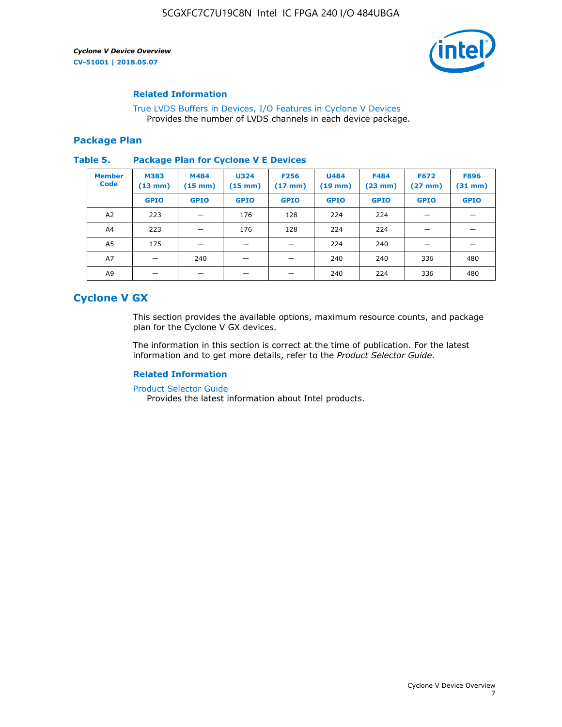

### **Related Information**

[True LVDS Buffers in Devices, I/O Features in Cyclone V Devices](https://www.altera.com/documentation/sam1403481100977.html#sam1403480885395) Provides the number of LVDS channels in each device package.

### **Package Plan**

#### **Table 5. Package Plan for Cyclone V E Devices**

| <b>Member</b><br><b>Code</b> | <b>M383</b><br>$(13 \text{ mm})$ | M484<br>$(15 \text{ mm})$ | <b>U324</b><br>$(15 \text{ mm})$ | <b>F256</b><br>$(17 \text{ mm})$ | <b>U484</b><br>$(19$ mm) | <b>F484</b><br>$(23$ mm $)$ | <b>F672</b><br>$(27 \, \text{mm})$ | <b>F896</b><br>$(31$ mm $)$ |
|------------------------------|----------------------------------|---------------------------|----------------------------------|----------------------------------|--------------------------|-----------------------------|------------------------------------|-----------------------------|
|                              | <b>GPIO</b>                      | <b>GPIO</b>               | <b>GPIO</b>                      | <b>GPIO</b>                      | <b>GPIO</b>              | <b>GPIO</b>                 | <b>GPIO</b>                        | <b>GPIO</b>                 |
| A2                           | 223                              |                           | 176                              | 128                              | 224                      | 224                         | –                                  |                             |
| A4                           | 223                              |                           | 176                              | 128                              | 224                      | 224                         | –                                  |                             |
| A5                           | 175                              |                           |                                  |                                  | 224                      | 240                         |                                    |                             |
| A7                           |                                  | 240                       |                                  |                                  | 240                      | 240                         | 336                                | 480                         |
| A9                           |                                  |                           |                                  |                                  | 240                      | 224                         | 336                                | 480                         |

### **Cyclone V GX**

This section provides the available options, maximum resource counts, and package plan for the Cyclone V GX devices.

The information in this section is correct at the time of publication. For the latest information and to get more details, refer to the *Product Selector Guide*.

### **Related Information**

[Product Selector Guide](https://www.altera.com/products/product-selector-guide.html)

Provides the latest information about Intel products.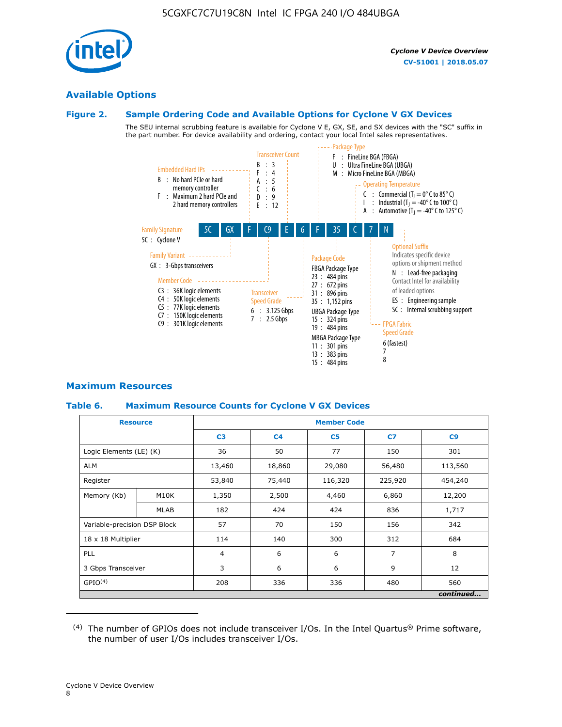

### **Available Options**

### **Figure 2. Sample Ordering Code and Available Options for Cyclone V GX Devices**

The SEU internal scrubbing feature is available for Cyclone V E, GX, SE, and SX devices with the "SC" suffix in the part number. For device availability and ordering, contact your local Intel sales representatives.



### **Maximum Resources**

### **Table 6. Maximum Resource Counts for Cyclone V GX Devices**

|                              | <b>Resource</b> | <b>Member Code</b> |                |                |                |           |  |  |
|------------------------------|-----------------|--------------------|----------------|----------------|----------------|-----------|--|--|
|                              |                 | C <sub>3</sub>     | C <sub>4</sub> | C <sub>5</sub> | C7             | C9        |  |  |
| Logic Elements (LE) (K)      |                 | 36                 | 50             | 77             | 150            | 301       |  |  |
| <b>ALM</b>                   |                 | 13,460             | 18,860         | 29,080         | 56,480         | 113,560   |  |  |
| Register                     |                 | 53,840             | 75,440         | 116,320        | 225,920        | 454,240   |  |  |
| Memory (Kb)                  | M10K            | 1,350              | 2,500          | 4,460          | 6,860          | 12,200    |  |  |
|                              | <b>MLAB</b>     | 182                | 424            | 424            | 836            | 1,717     |  |  |
| Variable-precision DSP Block |                 | 57                 | 70             | 150            | 156            | 342       |  |  |
| 18 x 18 Multiplier           |                 | 114                | 140            | 300            | 312            | 684       |  |  |
| PLL                          |                 | $\overline{4}$     | 6              | 6              | $\overline{7}$ | 8         |  |  |
| 3 Gbps Transceiver           |                 | 3                  | 6              | 6              | 9              | 12        |  |  |
| GPIO <sup>(4)</sup>          |                 | 208                | 336            | 336            | 480            | 560       |  |  |
|                              |                 |                    |                |                |                | continued |  |  |

 $(4)$  The number of GPIOs does not include transceiver I/Os. In the Intel Quartus® Prime software, the number of user I/Os includes transceiver I/Os.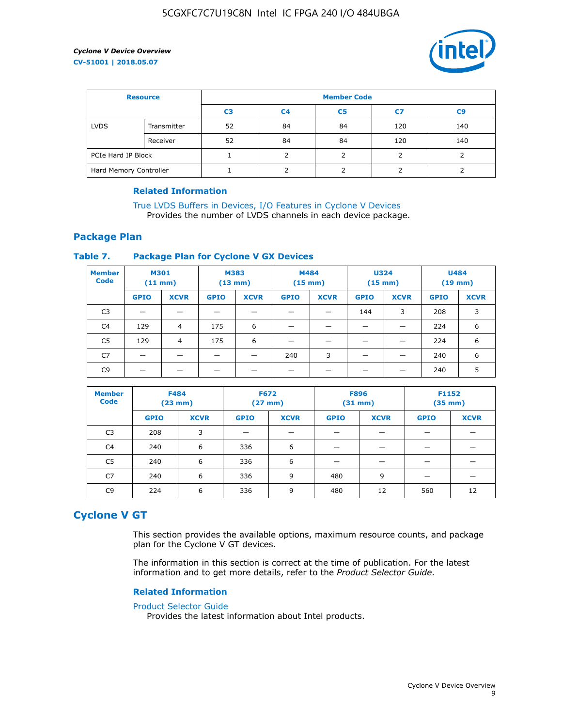

| <b>Resource</b>        |             | <b>Member Code</b> |                |                |     |                |  |  |
|------------------------|-------------|--------------------|----------------|----------------|-----|----------------|--|--|
|                        |             | C <sub>3</sub>     | C <sub>4</sub> | C <sub>5</sub> | C7  | C <sub>9</sub> |  |  |
| <b>LVDS</b>            | Transmitter | 52                 | 84             | 84             | 120 | 140            |  |  |
|                        | Receiver    | 52                 | 84             | 84             | 120 | 140            |  |  |
| PCIe Hard IP Block     |             |                    |                |                |     |                |  |  |
| Hard Memory Controller |             |                    | h              |                |     |                |  |  |

### **Related Information**

[True LVDS Buffers in Devices, I/O Features in Cyclone V Devices](https://www.altera.com/documentation/sam1403481100977.html#sam1403480885395) Provides the number of LVDS channels in each device package.

### **Package Plan**

### **Table 7. Package Plan for Cyclone V GX Devices**

| <b>Member</b><br><b>Code</b> | <b>M301</b><br>$(11$ mm) |                | <b>M383</b><br>$(13 \text{ mm})$ |             | M484        | $(15 \text{ mm})$ | <b>U324</b><br>$(15 \text{ mm})$ |             | <b>U484</b><br>$(19$ mm) |             |
|------------------------------|--------------------------|----------------|----------------------------------|-------------|-------------|-------------------|----------------------------------|-------------|--------------------------|-------------|
|                              | <b>GPIO</b>              | <b>XCVR</b>    | <b>GPIO</b>                      | <b>XCVR</b> | <b>GPIO</b> | <b>XCVR</b>       | <b>GPIO</b>                      | <b>XCVR</b> | <b>GPIO</b>              | <b>XCVR</b> |
| C <sub>3</sub>               |                          |                |                                  |             |             |                   | 144                              | 3           | 208                      | 3           |
| C <sub>4</sub>               | 129                      | $\overline{4}$ | 175                              | 6           |             |                   | –                                |             | 224                      | 6           |
| C5                           | 129                      | 4              | 175                              | 6           |             |                   |                                  |             | 224                      | 6           |
| C7                           | _                        |                |                                  |             | 240         | 3                 |                                  |             | 240                      | 6           |
| C9                           |                          |                |                                  |             |             |                   |                                  |             | 240                      | 5           |

| <b>Member</b><br><b>Code</b> | <b>F484</b> | $(23$ mm)   | <b>F672</b> | $(27$ mm $)$ | <b>F896</b><br>$(31 \text{ mm})$ |             | F1152<br>$(35 \text{ mm})$ |             |  |
|------------------------------|-------------|-------------|-------------|--------------|----------------------------------|-------------|----------------------------|-------------|--|
|                              | <b>GPIO</b> | <b>XCVR</b> | <b>GPIO</b> | <b>XCVR</b>  | <b>GPIO</b>                      | <b>XCVR</b> | <b>GPIO</b>                | <b>XCVR</b> |  |
| C <sub>3</sub>               | 208         | 3           |             |              |                                  |             |                            |             |  |
| C4                           | 240         | 6           | 336         | 6            |                                  |             |                            |             |  |
| C5                           | 240         | 6           | 336         | 6            |                                  |             |                            |             |  |
| C7                           | 240         | 6           | 336         | 9            | 480                              | 9           |                            |             |  |
| C9                           | 224         | 6           | 336         | 9            | 480                              | 12          | 560                        | 12          |  |

### **Cyclone V GT**

This section provides the available options, maximum resource counts, and package plan for the Cyclone V GT devices.

The information in this section is correct at the time of publication. For the latest information and to get more details, refer to the *Product Selector Guide*.

#### **Related Information**

#### [Product Selector Guide](https://www.altera.com/products/product-selector-guide.html)

Provides the latest information about Intel products.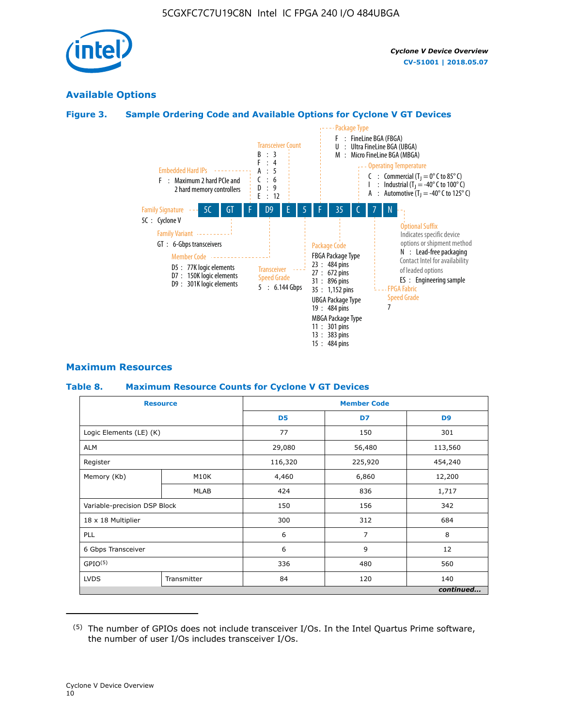

### **Available Options**

### **Figure 3. Sample Ordering Code and Available Options for Cyclone V GT Devices**



### **Maximum Resources**

#### **Table 8. Maximum Resource Counts for Cyclone V GT Devices**

|                              | <b>Resource</b> | <b>Member Code</b> |         |                |  |  |
|------------------------------|-----------------|--------------------|---------|----------------|--|--|
|                              |                 | D <sub>5</sub>     | D7      | D <sub>9</sub> |  |  |
| Logic Elements (LE) (K)      |                 | 77                 | 150     | 301            |  |  |
| <b>ALM</b>                   |                 | 29,080             | 56,480  | 113,560        |  |  |
| Register                     |                 | 116,320            | 225,920 | 454,240        |  |  |
| Memory (Kb)                  | M10K            | 4,460              | 6,860   | 12,200         |  |  |
|                              | <b>MLAB</b>     | 424                | 836     | 1,717          |  |  |
| Variable-precision DSP Block |                 | 150                | 156     | 342            |  |  |
| 18 x 18 Multiplier           |                 | 300                | 312     | 684            |  |  |
| PLL                          |                 | 6                  | 7       | 8              |  |  |
| 6 Gbps Transceiver           |                 | 6                  | 9       | 12             |  |  |
| GPIO <sup>(5)</sup>          |                 | 336                | 480     | 560            |  |  |
| <b>LVDS</b>                  | Transmitter     | 84                 | 120     | 140            |  |  |
|                              |                 |                    |         | continued      |  |  |

<sup>(5)</sup> The number of GPIOs does not include transceiver I/Os. In the Intel Quartus Prime software, the number of user I/Os includes transceiver I/Os.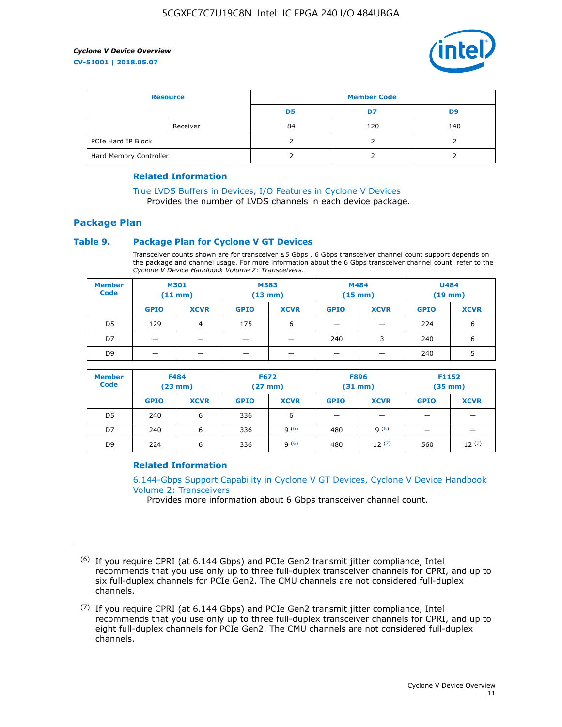

| <b>Resource</b>        |          | <b>Member Code</b> |     |     |  |  |
|------------------------|----------|--------------------|-----|-----|--|--|
|                        |          | D5                 | D7  | D9  |  |  |
|                        | Receiver | 84                 | 120 | 140 |  |  |
| PCIe Hard IP Block     |          |                    |     |     |  |  |
| Hard Memory Controller |          |                    |     |     |  |  |

### **Related Information**

[True LVDS Buffers in Devices, I/O Features in Cyclone V Devices](https://www.altera.com/documentation/sam1403481100977.html#sam1403480885395) Provides the number of LVDS channels in each device package.

### **Package Plan**

### **Table 9. Package Plan for Cyclone V GT Devices**

Transceiver counts shown are for transceiver ≤5 Gbps . 6 Gbps transceiver channel count support depends on the package and channel usage. For more information about the 6 Gbps transceiver channel count, refer to the *Cyclone V Device Handbook Volume 2: Transceivers*.

| <b>Member</b><br><b>Code</b> | <b>M301</b><br>(11 mm) |                | M383<br>$(13 \text{ mm})$ |             | M484<br>$(15 \text{ mm})$ |             | <b>U484</b><br>$(19$ mm) |             |
|------------------------------|------------------------|----------------|---------------------------|-------------|---------------------------|-------------|--------------------------|-------------|
|                              | <b>GPIO</b>            | <b>XCVR</b>    | <b>GPIO</b>               | <b>XCVR</b> | <b>GPIO</b>               | <b>XCVR</b> | <b>GPIO</b>              | <b>XCVR</b> |
| D <sub>5</sub>               | 129                    | $\overline{4}$ | 175                       | 6           | -                         | –           | 224                      | 6           |
| D7                           | -                      |                |                           |             | 240                       | 3           | 240                      | 6           |
| D <sub>9</sub>               | -                      |                |                           |             | _                         |             | 240                      |             |

| <b>Member</b><br><b>Code</b> | <b>F484</b><br>$(23$ mm $)$ |             | <b>F672</b><br>$(27 \text{ mm})$ |             | <b>F896</b><br>$(31$ mm $)$ |             | F1152<br>$(35$ mm $)$ |             |
|------------------------------|-----------------------------|-------------|----------------------------------|-------------|-----------------------------|-------------|-----------------------|-------------|
|                              | <b>GPIO</b>                 | <b>XCVR</b> | <b>GPIO</b>                      | <b>XCVR</b> | <b>GPIO</b>                 | <b>XCVR</b> | <b>GPIO</b>           | <b>XCVR</b> |
| D <sub>5</sub>               | 240                         | 6           | 336                              | 6           | -                           |             |                       |             |
| D7                           | 240                         | 6           | 336                              | q(6)        | 480                         | q(6)        |                       |             |
| D <sub>9</sub>               | 224                         | 6           | 336                              | 9(6)        | 480                         | 12(7)       | 560                   | 12(7)       |

### **Related Information**

[6.144-Gbps Support Capability in Cyclone V GT Devices, Cyclone V Device Handbook](https://www.altera.com/documentation/nik1409855456781.html#nik1409855410757) [Volume 2: Transceivers](https://www.altera.com/documentation/nik1409855456781.html#nik1409855410757)

Provides more information about 6 Gbps transceiver channel count.

<sup>(6)</sup> If you require CPRI (at 6.144 Gbps) and PCIe Gen2 transmit jitter compliance, Intel recommends that you use only up to three full-duplex transceiver channels for CPRI, and up to six full-duplex channels for PCIe Gen2. The CMU channels are not considered full-duplex channels.

 $(7)$  If you require CPRI (at 6.144 Gbps) and PCIe Gen2 transmit jitter compliance, Intel recommends that you use only up to three full-duplex transceiver channels for CPRI, and up to eight full-duplex channels for PCIe Gen2. The CMU channels are not considered full-duplex channels.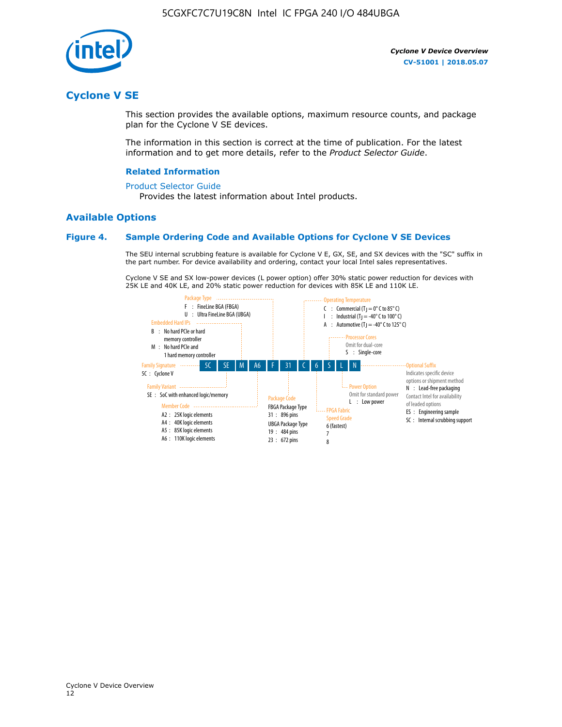

### **Cyclone V SE**

This section provides the available options, maximum resource counts, and package plan for the Cyclone V SE devices.

The information in this section is correct at the time of publication. For the latest information and to get more details, refer to the *Product Selector Guide*.

### **Related Information**

#### [Product Selector Guide](https://www.altera.com/products/product-selector-guide.html)

Provides the latest information about Intel products.

### **Available Options**

### **Figure 4. Sample Ordering Code and Available Options for Cyclone V SE Devices**

The SEU internal scrubbing feature is available for Cyclone V E, GX, SE, and SX devices with the "SC" suffix in the part number. For device availability and ordering, contact your local Intel sales representatives.

Cyclone V SE and SX low-power devices (L power option) offer 30% static power reduction for devices with 25K LE and 40K LE, and 20% static power reduction for devices with 85K LE and 110K LE.

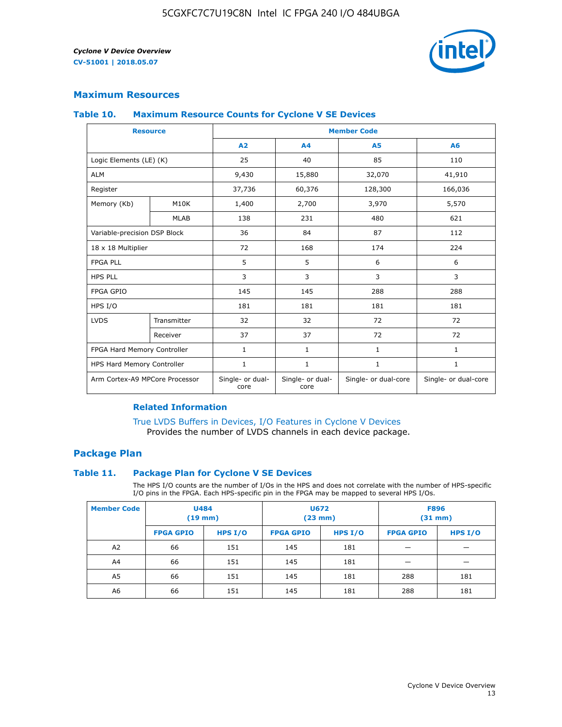

### **Maximum Resources**

#### **Table 10. Maximum Resource Counts for Cyclone V SE Devices**

|                                | <b>Resource</b> | <b>Member Code</b>       |                          |                      |                      |  |
|--------------------------------|-----------------|--------------------------|--------------------------|----------------------|----------------------|--|
|                                |                 | A <sub>2</sub>           | A4                       | <b>A5</b>            | A6                   |  |
| Logic Elements (LE) (K)        |                 | 25                       | 40                       | 85                   | 110                  |  |
| <b>ALM</b>                     |                 | 9,430                    | 15,880                   | 32,070               | 41,910               |  |
| Register                       |                 | 37,736                   | 60,376                   | 128,300              | 166,036              |  |
| Memory (Kb)                    | M10K            | 1,400                    | 2,700                    | 3,970                | 5,570                |  |
|                                | <b>MLAB</b>     | 138                      | 231                      | 480                  | 621                  |  |
| Variable-precision DSP Block   |                 | 36                       | 84                       | 87                   | 112                  |  |
| 18 x 18 Multiplier             |                 | 72                       | 168                      | 174                  | 224                  |  |
| <b>FPGA PLL</b>                |                 | 5                        | 5                        | 6                    | 6                    |  |
| <b>HPS PLL</b>                 |                 | 3                        | 3                        | 3                    | 3                    |  |
| <b>FPGA GPIO</b>               |                 | 145                      | 145                      | 288                  | 288                  |  |
| HPS I/O                        |                 | 181                      | 181                      | 181                  | 181                  |  |
| <b>LVDS</b>                    | Transmitter     | 32                       | 32                       | 72                   | 72                   |  |
|                                | Receiver        | 37                       | 37                       | 72                   | 72                   |  |
| FPGA Hard Memory Controller    |                 | 1                        | $\mathbf{1}$             | $\mathbf{1}$         | $\mathbf{1}$         |  |
| HPS Hard Memory Controller     |                 | 1                        | $\mathbf{1}$             | $\mathbf{1}$         | 1                    |  |
| Arm Cortex-A9 MPCore Processor |                 | Single- or dual-<br>core | Single- or dual-<br>core | Single- or dual-core | Single- or dual-core |  |

### **Related Information**

[True LVDS Buffers in Devices, I/O Features in Cyclone V Devices](https://www.altera.com/documentation/sam1403481100977.html#sam1403480885395) Provides the number of LVDS channels in each device package.

### **Package Plan**

#### **Table 11. Package Plan for Cyclone V SE Devices**

The HPS I/O counts are the number of I/Os in the HPS and does not correlate with the number of HPS-specific I/O pins in the FPGA. Each HPS-specific pin in the FPGA may be mapped to several HPS I/Os.

| <b>Member Code</b> | <b>U484</b><br>$(19$ mm) |           | <b>U672</b><br>(23 mm) |         | <b>F896</b><br>$(31$ mm $)$ |           |
|--------------------|--------------------------|-----------|------------------------|---------|-----------------------------|-----------|
|                    | <b>FPGA GPIO</b>         | HPS $I/O$ | <b>FPGA GPIO</b>       | HPS I/O | <b>FPGA GPIO</b>            | HPS $I/O$ |
| A <sub>2</sub>     | 66                       | 151       | 145                    | 181     |                             |           |
| A4                 | 66                       | 151       | 145                    | 181     |                             |           |
| A <sub>5</sub>     | 66                       | 151       | 145                    | 181     | 288                         | 181       |
| A6                 | 66                       | 151       | 145                    | 181     | 288                         | 181       |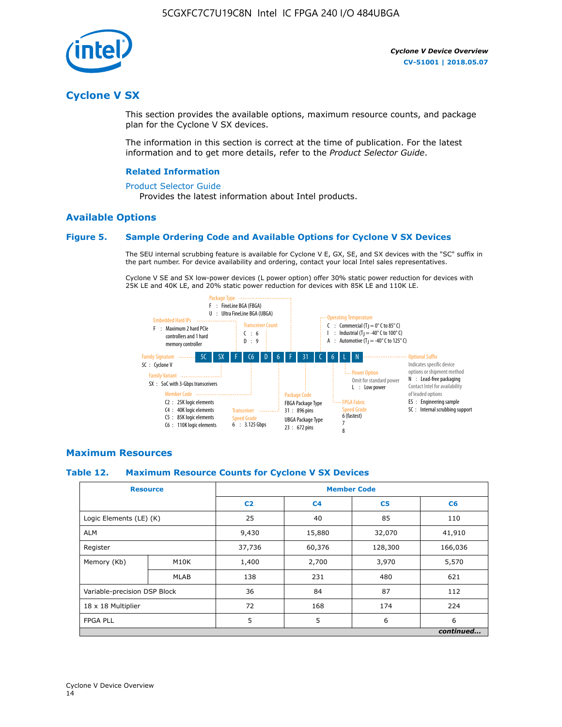

### **Cyclone V SX**

This section provides the available options, maximum resource counts, and package plan for the Cyclone V SX devices.

The information in this section is correct at the time of publication. For the latest information and to get more details, refer to the *Product Selector Guide*.

#### **Related Information**

#### [Product Selector Guide](https://www.altera.com/products/product-selector-guide.html)

Provides the latest information about Intel products.

### **Available Options**

#### **Figure 5. Sample Ordering Code and Available Options for Cyclone V SX Devices**

The SEU internal scrubbing feature is available for Cyclone V E, GX, SE, and SX devices with the "SC" suffix in the part number. For device availability and ordering, contact your local Intel sales representatives.

Cyclone V SE and SX low-power devices (L power option) offer 30% static power reduction for devices with 25K LE and 40K LE, and 20% static power reduction for devices with 85K LE and 110K LE.



### **Maximum Resources**

#### **Table 12. Maximum Resource Counts for Cyclone V SX Devices**

|                              | <b>Resource</b> | <b>Member Code</b> |                |                |           |  |
|------------------------------|-----------------|--------------------|----------------|----------------|-----------|--|
|                              |                 | C <sub>2</sub>     | C <sub>4</sub> | C <sub>5</sub> | C6        |  |
| Logic Elements (LE) (K)      |                 | 25                 | 40             | 85             | 110       |  |
| <b>ALM</b>                   |                 | 9,430              | 15,880         | 32,070         | 41,910    |  |
| Register                     |                 | 37,736             | 60,376         | 128,300        | 166,036   |  |
| Memory (Kb)                  | M10K            | 1,400              | 2,700          | 3,970          | 5,570     |  |
|                              | <b>MLAB</b>     | 138                | 231            | 480            | 621       |  |
| Variable-precision DSP Block |                 | 36                 | 84             | 87             | 112       |  |
| 18 x 18 Multiplier           |                 | 72                 | 168            | 174            | 224       |  |
| <b>FPGA PLL</b>              |                 | 5                  | 5              | 6              | 6         |  |
|                              |                 |                    |                |                | continued |  |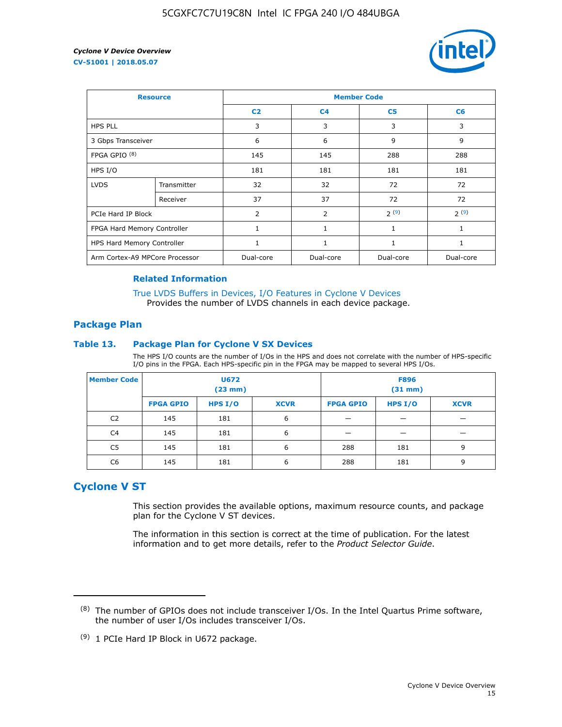

| <b>Resource</b>                |             | <b>Member Code</b> |                |                |                |  |  |
|--------------------------------|-------------|--------------------|----------------|----------------|----------------|--|--|
|                                |             | C <sub>2</sub>     | C <sub>4</sub> | C <sub>5</sub> | C <sub>6</sub> |  |  |
| <b>HPS PLL</b>                 |             | 3                  | 3              | 3              | 3              |  |  |
| 3 Gbps Transceiver             |             | 6                  | 6              | 9              | 9              |  |  |
| FPGA GPIO <sup>(8)</sup>       |             | 145                | 145            | 288            | 288            |  |  |
| HPS I/O                        |             | 181                | 181            | 181            | 181            |  |  |
| <b>LVDS</b>                    | Transmitter | 32                 | 32             | 72             | 72             |  |  |
|                                | Receiver    | 37                 | 37             | 72             | 72             |  |  |
| PCIe Hard IP Block             |             | $\overline{2}$     | $\overline{2}$ | 2(9)           | 2(9)           |  |  |
| FPGA Hard Memory Controller    |             |                    | 1              | 1              | 1              |  |  |
| HPS Hard Memory Controller     |             | 1                  | $\mathbf{1}$   | 1              | 1              |  |  |
| Arm Cortex-A9 MPCore Processor |             | Dual-core          | Dual-core      | Dual-core      | Dual-core      |  |  |

### **Related Information**

[True LVDS Buffers in Devices, I/O Features in Cyclone V Devices](https://www.altera.com/documentation/sam1403481100977.html#sam1403480885395) Provides the number of LVDS channels in each device package.

### **Package Plan**

#### **Table 13. Package Plan for Cyclone V SX Devices**

The HPS I/O counts are the number of I/Os in the HPS and does not correlate with the number of HPS-specific I/O pins in the FPGA. Each HPS-specific pin in the FPGA may be mapped to several HPS I/Os.

| <b>Member Code</b> | U672<br>(23 mm)  |           | <b>F896</b><br>$(31$ mm $)$ |                  |         |             |
|--------------------|------------------|-----------|-----------------------------|------------------|---------|-------------|
|                    | <b>FPGA GPIO</b> | HPS $I/O$ | <b>XCVR</b>                 | <b>FPGA GPIO</b> | HPS I/O | <b>XCVR</b> |
| C <sub>2</sub>     | 145              | 181       | 6                           |                  |         |             |
| C4                 | 145              | 181       | 6                           |                  |         |             |
| C <sub>5</sub>     | 145              | 181       | 6                           | 288              | 181     | 9           |
| C6                 | 145              | 181       | 6                           | 288              | 181     | 9           |

### **Cyclone V ST**

This section provides the available options, maximum resource counts, and package plan for the Cyclone V ST devices.

The information in this section is correct at the time of publication. For the latest information and to get more details, refer to the *Product Selector Guide*.

 $(8)$  The number of GPIOs does not include transceiver I/Os. In the Intel Quartus Prime software, the number of user I/Os includes transceiver I/Os.

<sup>(9)</sup> 1 PCIe Hard IP Block in U672 package.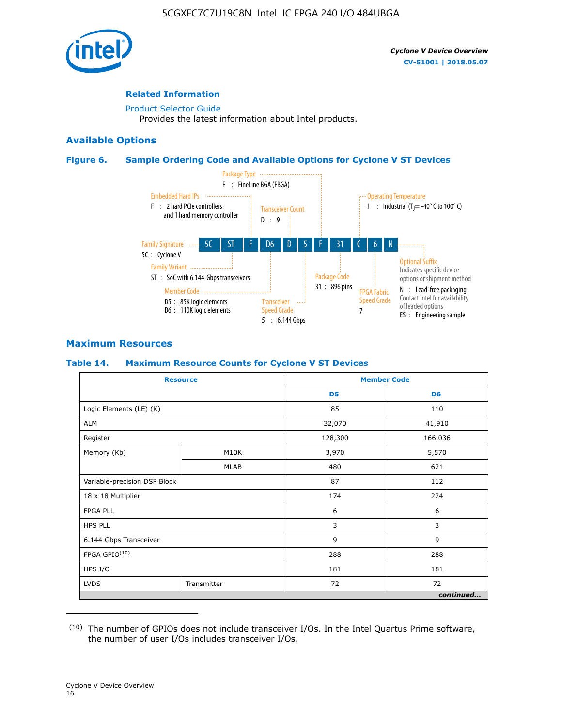

### **Related Information**

[Product Selector Guide](https://www.altera.com/products/product-selector-guide.html) Provides the latest information about Intel products.

### **Available Options**

### **Figure 6. Sample Ordering Code and Available Options for Cyclone V ST Devices**



### **Maximum Resources**

### **Table 14. Maximum Resource Counts for Cyclone V ST Devices**

| <b>Resource</b>              |             |                | <b>Member Code</b> |
|------------------------------|-------------|----------------|--------------------|
|                              |             | D <sub>5</sub> | D <sub>6</sub>     |
| Logic Elements (LE) (K)      |             | 85             | 110                |
| <b>ALM</b>                   |             | 32,070         | 41,910             |
| Register                     |             | 128,300        | 166,036            |
| Memory (Kb)                  | M10K        | 3,970          | 5,570              |
|                              | <b>MLAB</b> | 480            | 621                |
| Variable-precision DSP Block |             | 87             | 112                |
| 18 x 18 Multiplier           |             | 174            | 224                |
| <b>FPGA PLL</b>              |             | 6              | 6                  |
| <b>HPS PLL</b>               |             | 3              | 3                  |
| 6.144 Gbps Transceiver       |             | 9              | 9                  |
| FPGA GPIO(10)                |             | 288            | 288                |
| HPS I/O                      |             | 181            | 181                |
| <b>LVDS</b>                  | Transmitter |                | 72                 |
|                              |             |                | continued          |

<sup>(10)</sup> The number of GPIOs does not include transceiver I/Os. In the Intel Quartus Prime software, the number of user I/Os includes transceiver I/Os.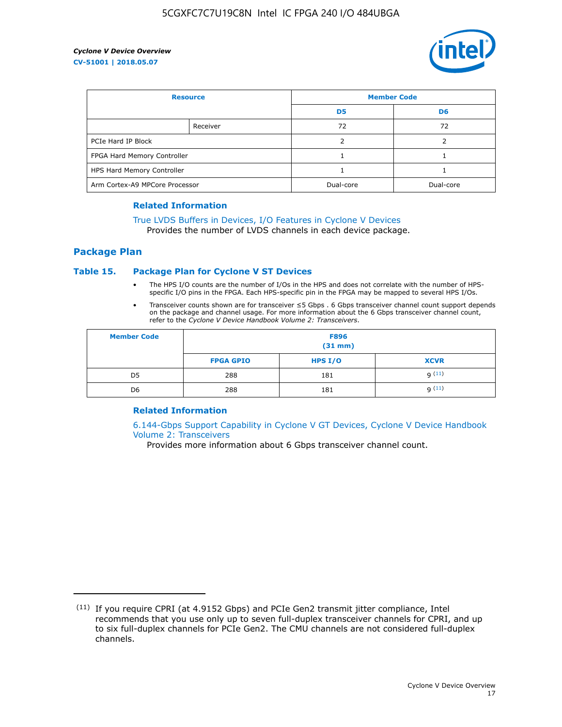

| <b>Resource</b>                |          | <b>Member Code</b> |                |  |
|--------------------------------|----------|--------------------|----------------|--|
|                                |          | D <sub>5</sub>     | D <sub>6</sub> |  |
|                                | Receiver | 72                 | 72             |  |
| PCIe Hard IP Block             |          |                    |                |  |
| FPGA Hard Memory Controller    |          |                    |                |  |
| HPS Hard Memory Controller     |          |                    |                |  |
| Arm Cortex-A9 MPCore Processor |          | Dual-core          | Dual-core      |  |

#### **Related Information**

### [True LVDS Buffers in Devices, I/O Features in Cyclone V Devices](https://www.altera.com/documentation/sam1403481100977.html#sam1403480885395)

Provides the number of LVDS channels in each device package.

### **Package Plan**

### **Table 15. Package Plan for Cyclone V ST Devices**

- The HPS I/O counts are the number of I/Os in the HPS and does not correlate with the number of HPSspecific I/O pins in the FPGA. Each HPS-specific pin in the FPGA may be mapped to several HPS I/Os.
- Transceiver counts shown are for transceiver ≤5 Gbps . 6 Gbps transceiver channel count support depends on the package and channel usage. For more information about the 6 Gbps transceiver channel count, refer to the *Cyclone V Device Handbook Volume 2: Transceivers*.

| <b>Member Code</b> | <b>F896</b><br>$(31$ mm $)$ |           |             |  |  |
|--------------------|-----------------------------|-----------|-------------|--|--|
|                    | <b>FPGA GPIO</b>            | HPS $I/O$ | <b>XCVR</b> |  |  |
| D <sub>5</sub>     | 288                         | 181       | 9(11)       |  |  |
| D <sub>6</sub>     | 288                         | 181       | q(11)       |  |  |

### **Related Information**

[6.144-Gbps Support Capability in Cyclone V GT Devices, Cyclone V Device Handbook](https://www.altera.com/documentation/nik1409855456781.html#nik1409855410757) [Volume 2: Transceivers](https://www.altera.com/documentation/nik1409855456781.html#nik1409855410757)

Provides more information about 6 Gbps transceiver channel count.

<sup>(11)</sup> If you require CPRI (at 4.9152 Gbps) and PCIe Gen2 transmit jitter compliance, Intel recommends that you use only up to seven full-duplex transceiver channels for CPRI, and up to six full-duplex channels for PCIe Gen2. The CMU channels are not considered full-duplex channels.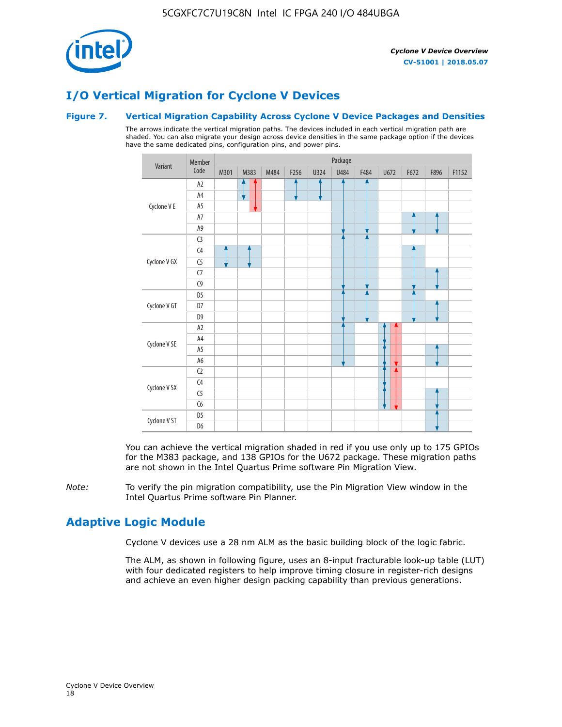

### **I/O Vertical Migration for Cyclone V Devices**

### **Figure 7. Vertical Migration Capability Across Cyclone V Device Packages and Densities**

The arrows indicate the vertical migration paths. The devices included in each vertical migration path are shaded. You can also migrate your design across device densities in the same package option if the devices have the same dedicated pins, configuration pins, and power pins.



You can achieve the vertical migration shaded in red if you use only up to 175 GPIOs for the M383 package, and 138 GPIOs for the U672 package. These migration paths are not shown in the Intel Quartus Prime software Pin Migration View.

*Note:* To verify the pin migration compatibility, use the Pin Migration View window in the Intel Quartus Prime software Pin Planner.

### **Adaptive Logic Module**

Cyclone V devices use a 28 nm ALM as the basic building block of the logic fabric.

The ALM, as shown in following figure, uses an 8-input fracturable look-up table (LUT) with four dedicated registers to help improve timing closure in register-rich designs and achieve an even higher design packing capability than previous generations.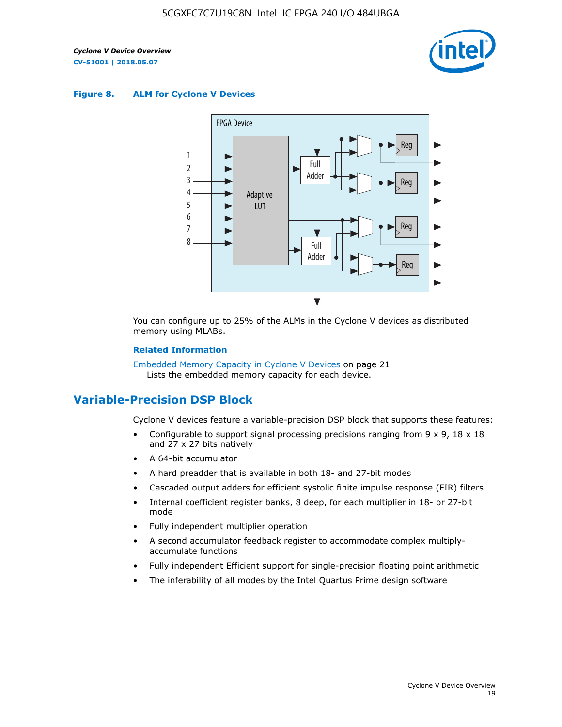

#### **Figure 8. ALM for Cyclone V Devices**



You can configure up to 25% of the ALMs in the Cyclone V devices as distributed memory using MLABs.

#### **Related Information**

Embedded Memory Capacity in Cyclone V Devices on page 21 Lists the embedded memory capacity for each device.

### **Variable-Precision DSP Block**

Cyclone V devices feature a variable-precision DSP block that supports these features:

- Configurable to support signal processing precisions ranging from  $9 \times 9$ ,  $18 \times 18$ and 27 x 27 bits natively
- A 64-bit accumulator
- A hard preadder that is available in both 18- and 27-bit modes
- Cascaded output adders for efficient systolic finite impulse response (FIR) filters
- Internal coefficient register banks, 8 deep, for each multiplier in 18- or 27-bit mode
- Fully independent multiplier operation
- A second accumulator feedback register to accommodate complex multiplyaccumulate functions
- Fully independent Efficient support for single-precision floating point arithmetic
- The inferability of all modes by the Intel Quartus Prime design software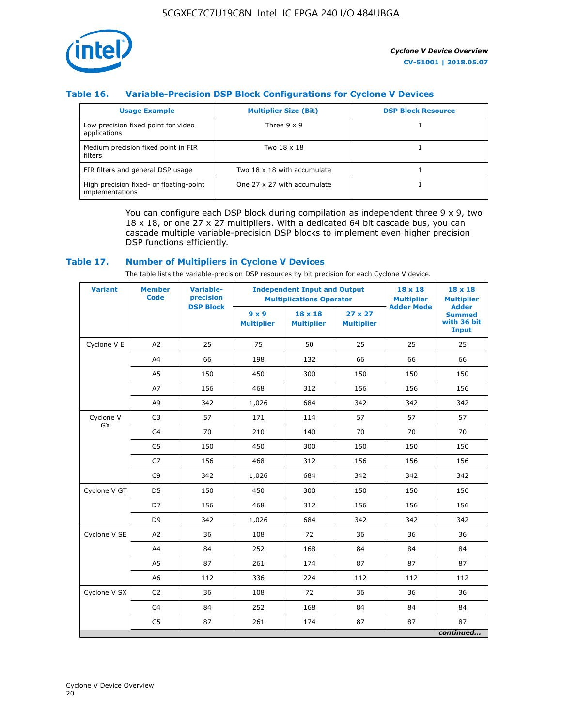

### **Table 16. Variable-Precision DSP Block Configurations for Cyclone V Devices**

| <b>Usage Example</b>                                       | <b>Multiplier Size (Bit)</b> | <b>DSP Block Resource</b> |
|------------------------------------------------------------|------------------------------|---------------------------|
| Low precision fixed point for video<br>applications        | Three $9 \times 9$           |                           |
| Medium precision fixed point in FIR<br>filters             | Two 18 x 18                  |                           |
| FIR filters and general DSP usage                          | Two 18 x 18 with accumulate  |                           |
| High precision fixed- or floating-point<br>implementations | One 27 x 27 with accumulate  |                           |

You can configure each DSP block during compilation as independent three  $9 \times 9$ , two 18 x 18, or one 27 x 27 multipliers. With a dedicated 64 bit cascade bus, you can cascade multiple variable-precision DSP blocks to implement even higher precision DSP functions efficiently.

### **Table 17. Number of Multipliers in Cyclone V Devices**

The table lists the variable-precision DSP resources by bit precision for each Cyclone V device.

| <b>Variant</b>  | <b>Member</b><br><b>Code</b> | <b>Variable-</b><br>precision |                                   | <b>Independent Input and Output</b><br><b>Multiplications Operator</b> |                                     |                   | $18 \times 18$<br><b>Multiplier</b>                          |
|-----------------|------------------------------|-------------------------------|-----------------------------------|------------------------------------------------------------------------|-------------------------------------|-------------------|--------------------------------------------------------------|
|                 |                              | <b>DSP Block</b>              | $9 \times 9$<br><b>Multiplier</b> | $18 \times 18$<br><b>Multiplier</b>                                    | $27 \times 27$<br><b>Multiplier</b> | <b>Adder Mode</b> | <b>Adder</b><br><b>Summed</b><br>with 36 bit<br><b>Input</b> |
| Cyclone V E     | A2                           | 25                            | 75                                | 50                                                                     | 25                                  | 25                | 25                                                           |
|                 | A4                           | 66                            | 198                               | 132                                                                    | 66                                  | 66                | 66                                                           |
|                 | A5                           | 150                           | 450                               | 300                                                                    | 150                                 | 150               | 150                                                          |
|                 | A7                           | 156                           | 468                               | 312                                                                    | 156                                 | 156               | 156                                                          |
|                 | A9                           | 342                           | 1,026                             | 684                                                                    | 342                                 | 342               | 342                                                          |
| Cyclone V<br>GX | C <sub>3</sub>               | 57                            | 171                               | 114                                                                    | 57                                  | 57                | 57                                                           |
|                 | C <sub>4</sub>               | 70                            | 210                               | 140                                                                    | 70                                  | 70                | 70                                                           |
|                 | C <sub>5</sub>               | 150                           | 450                               | 300                                                                    | 150                                 | 150               | 150                                                          |
|                 | C7                           | 156                           | 468                               | 312                                                                    | 156                                 | 156               | 156                                                          |
|                 | C <sub>9</sub>               | 342                           | 1,026                             | 684                                                                    | 342                                 | 342               | 342                                                          |
| Cyclone V GT    | D <sub>5</sub>               | 150                           | 450                               | 300                                                                    | 150                                 | 150               | 150                                                          |
|                 | D7                           | 156                           | 468                               | 312                                                                    | 156                                 | 156               | 156                                                          |
|                 | D <sub>9</sub>               | 342                           | 1,026                             | 684                                                                    | 342                                 | 342               | 342                                                          |
| Cyclone V SE    | A <sub>2</sub>               | 36                            | 108                               | 72                                                                     | 36                                  | 36                | 36                                                           |
|                 | A4                           | 84                            | 252                               | 168                                                                    | 84                                  | 84                | 84                                                           |
|                 | A5                           | 87                            | 261                               | 174                                                                    | 87                                  | 87                | 87                                                           |
|                 | A <sub>6</sub>               | 112                           | 336                               | 224                                                                    | 112                                 | 112               | 112                                                          |
| Cyclone V SX    | C <sub>2</sub>               | 36                            | 108                               | 72                                                                     | 36                                  | 36                | 36                                                           |
|                 | C <sub>4</sub>               | 84                            | 252                               | 168                                                                    | 84                                  | 84                | 84                                                           |
|                 | C <sub>5</sub>               | 87                            | 261                               | 174                                                                    | 87                                  | 87                | 87                                                           |
|                 |                              |                               |                                   |                                                                        |                                     |                   | continued                                                    |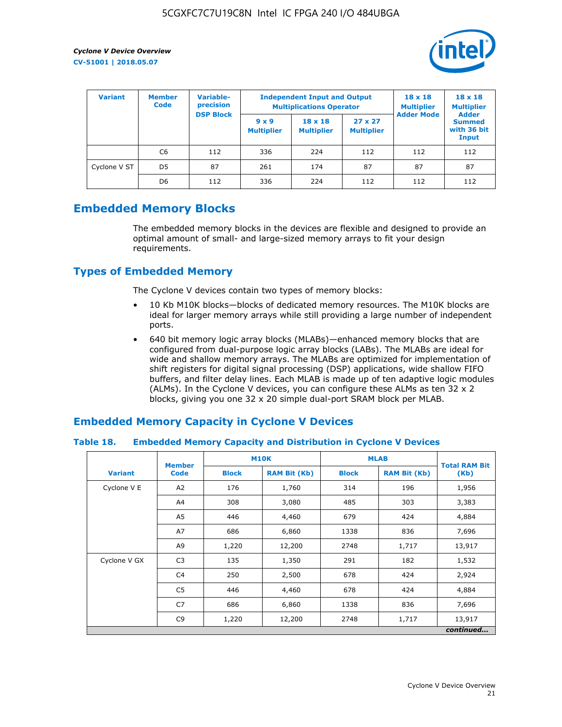

| <b>Variant</b> | <b>Member</b><br><b>Code</b> | Variable-<br>precision |                                   | <b>Independent Input and Output</b><br><b>Multiplications Operator</b> | $18 \times 18$<br><b>Multiplier</b> | $18 \times 18$<br><b>Multiplier</b><br><b>Adder</b> |                                       |
|----------------|------------------------------|------------------------|-----------------------------------|------------------------------------------------------------------------|-------------------------------------|-----------------------------------------------------|---------------------------------------|
|                |                              | <b>DSP Block</b>       | $9 \times 9$<br><b>Multiplier</b> | $18 \times 18$<br><b>Multiplier</b>                                    | $27 \times 27$<br><b>Multiplier</b> | <b>Adder Mode</b>                                   | <b>Summed</b><br>with 36 bit<br>Input |
|                | C6                           | 112                    | 336                               | 224                                                                    | 112                                 | 112                                                 | 112                                   |
| Cyclone V ST   | D <sub>5</sub>               | 87                     | 261                               | 174                                                                    | 87                                  | 87                                                  | 87                                    |
|                | D <sub>6</sub>               | 112                    | 336                               | 224                                                                    | 112                                 | 112                                                 | 112                                   |

### **Embedded Memory Blocks**

The embedded memory blocks in the devices are flexible and designed to provide an optimal amount of small- and large-sized memory arrays to fit your design requirements.

### **Types of Embedded Memory**

The Cyclone V devices contain two types of memory blocks:

- 10 Kb M10K blocks—blocks of dedicated memory resources. The M10K blocks are ideal for larger memory arrays while still providing a large number of independent ports.
- 640 bit memory logic array blocks (MLABs)—enhanced memory blocks that are configured from dual-purpose logic array blocks (LABs). The MLABs are ideal for wide and shallow memory arrays. The MLABs are optimized for implementation of shift registers for digital signal processing (DSP) applications, wide shallow FIFO buffers, and filter delay lines. Each MLAB is made up of ten adaptive logic modules (ALMs). In the Cyclone V devices, you can configure these ALMs as ten 32 x 2 blocks, giving you one 32 x 20 simple dual-port SRAM block per MLAB.

### **Embedded Memory Capacity in Cyclone V Devices**

### **Table 18. Embedded Memory Capacity and Distribution in Cyclone V Devices**

|                | <b>Member</b>  | <b>M10K</b>  |                     | <b>MLAB</b>  | <b>Total RAM Bit</b> |           |
|----------------|----------------|--------------|---------------------|--------------|----------------------|-----------|
| <b>Variant</b> | <b>Code</b>    | <b>Block</b> | <b>RAM Bit (Kb)</b> | <b>Block</b> | <b>RAM Bit (Kb)</b>  | (Kb)      |
| Cyclone V E    | A2             | 176          | 1,760               | 314          | 196                  | 1,956     |
|                | A4             | 308          | 3,080               | 485          | 303                  | 3,383     |
|                | A5             | 446          | 4,460               | 679          | 424                  | 4,884     |
|                | A7             | 686          | 6,860               | 1338         | 836                  | 7,696     |
|                | A9             | 1,220        | 12,200              | 2748         | 1,717                | 13,917    |
| Cyclone V GX   | C <sub>3</sub> | 135          | 1,350               | 291          | 182                  | 1,532     |
|                | C4             | 250          | 2,500               | 678          | 424                  | 2,924     |
|                | C5             | 446          | 4,460               | 678          | 424                  | 4,884     |
|                | C7             | 686          | 6,860               | 1338         | 836                  | 7,696     |
|                | C <sub>9</sub> | 1,220        | 12,200              | 2748         | 1,717                | 13,917    |
|                |                |              |                     |              |                      | continued |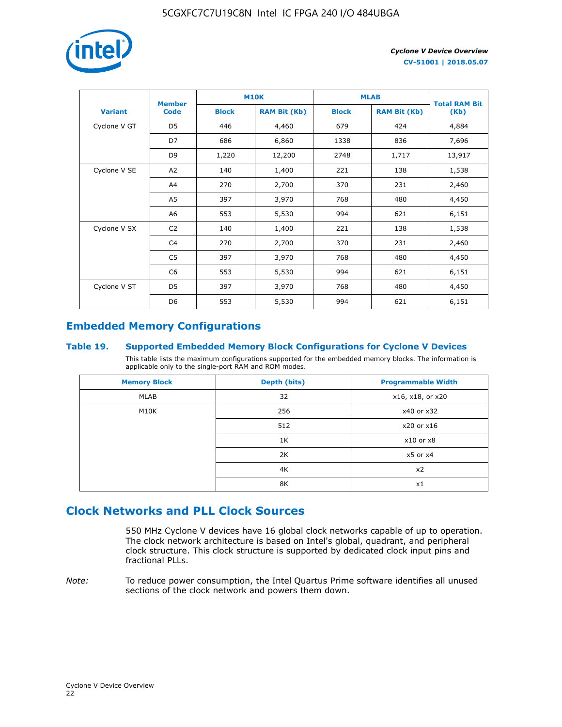

|                | <b>Member</b>  | <b>M10K</b>  |                     | <b>MLAB</b>  | <b>Total RAM Bit</b> |        |
|----------------|----------------|--------------|---------------------|--------------|----------------------|--------|
| <b>Variant</b> | <b>Code</b>    | <b>Block</b> | <b>RAM Bit (Kb)</b> | <b>Block</b> | <b>RAM Bit (Kb)</b>  | (Kb)   |
| Cyclone V GT   | D <sub>5</sub> | 446          | 4,460               | 679          | 424                  | 4,884  |
|                | D7             | 686          | 6,860               | 1338         | 836                  | 7,696  |
|                | D <sub>9</sub> | 1,220        | 12,200              | 2748         | 1,717                | 13,917 |
| Cyclone V SE   | A <sub>2</sub> | 140          | 1,400               | 221          | 138                  | 1,538  |
|                | A4             | 270          | 2,700               | 370          | 231                  | 2,460  |
|                | A5             | 397          | 3,970               | 768          | 480                  | 4,450  |
|                | A <sub>6</sub> | 553          | 5,530               | 994          | 621                  | 6,151  |
| Cyclone V SX   | C <sub>2</sub> | 140          | 1,400               | 221          | 138                  | 1,538  |
|                | C <sub>4</sub> | 270          | 2,700               | 370          | 231                  | 2,460  |
|                | C <sub>5</sub> | 397          | 3,970               | 768          | 480                  | 4,450  |
|                | C <sub>6</sub> | 553          | 5,530               | 994          | 621                  | 6,151  |
| Cyclone V ST   | D <sub>5</sub> | 397          | 3,970               | 768          | 480                  | 4,450  |
|                | D <sub>6</sub> | 553          | 5,530               | 994          | 621                  | 6,151  |

### **Embedded Memory Configurations**

### **Table 19. Supported Embedded Memory Block Configurations for Cyclone V Devices**

This table lists the maximum configurations supported for the embedded memory blocks. The information is applicable only to the single-port RAM and ROM modes.

| <b>Memory Block</b> | Depth (bits) | <b>Programmable Width</b> |
|---------------------|--------------|---------------------------|
| MLAB                | 32           | x16, x18, or x20          |
| M10K                | 256          | x40 or x32                |
|                     | 512          | x20 or x16                |
|                     | 1K           | $x10$ or $x8$             |
|                     | 2K           | $x5$ or $x4$              |
|                     | 4K           | x2                        |
|                     | 8K           | x1                        |

### **Clock Networks and PLL Clock Sources**

550 MHz Cyclone V devices have 16 global clock networks capable of up to operation. The clock network architecture is based on Intel's global, quadrant, and peripheral clock structure. This clock structure is supported by dedicated clock input pins and fractional PLLs.

*Note:* To reduce power consumption, the Intel Quartus Prime software identifies all unused sections of the clock network and powers them down.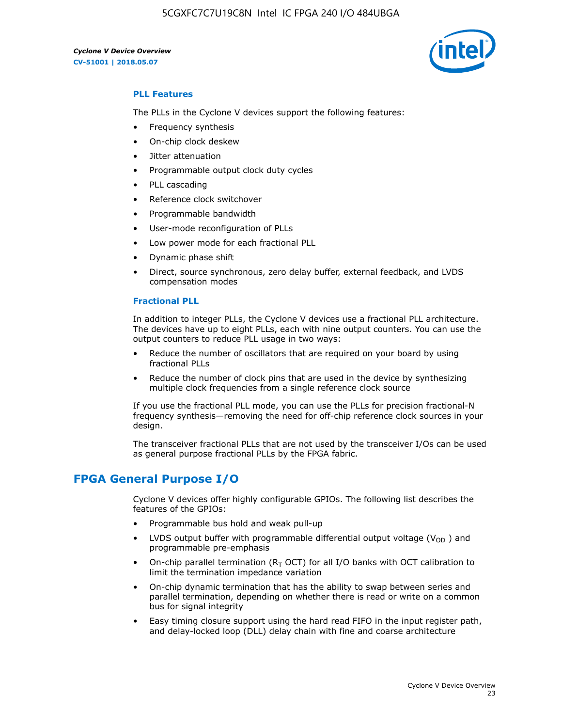5CGXFC7C7U19C8N Intel IC FPGA 240 I/O 484UBGA

*Cyclone V Device Overview* **CV-51001 | 2018.05.07**



### **PLL Features**

The PLLs in the Cyclone V devices support the following features:

- Frequency synthesis
- On-chip clock deskew
- Jitter attenuation
- Programmable output clock duty cycles
- PLL cascading
- Reference clock switchover
- Programmable bandwidth
- User-mode reconfiguration of PLLs
- Low power mode for each fractional PLL
- Dynamic phase shift
- Direct, source synchronous, zero delay buffer, external feedback, and LVDS compensation modes

#### **Fractional PLL**

In addition to integer PLLs, the Cyclone V devices use a fractional PLL architecture. The devices have up to eight PLLs, each with nine output counters. You can use the output counters to reduce PLL usage in two ways:

- Reduce the number of oscillators that are required on your board by using fractional PLLs
- Reduce the number of clock pins that are used in the device by synthesizing multiple clock frequencies from a single reference clock source

If you use the fractional PLL mode, you can use the PLLs for precision fractional-N frequency synthesis—removing the need for off-chip reference clock sources in your design.

The transceiver fractional PLLs that are not used by the transceiver I/Os can be used as general purpose fractional PLLs by the FPGA fabric.

### **FPGA General Purpose I/O**

Cyclone V devices offer highly configurable GPIOs. The following list describes the features of the GPIOs:

- Programmable bus hold and weak pull-up
- LVDS output buffer with programmable differential output voltage ( $V_{OD}$ ) and programmable pre-emphasis
- On-chip parallel termination ( $R<sub>T</sub>$  OCT) for all I/O banks with OCT calibration to limit the termination impedance variation
- On-chip dynamic termination that has the ability to swap between series and parallel termination, depending on whether there is read or write on a common bus for signal integrity
- Easy timing closure support using the hard read FIFO in the input register path, and delay-locked loop (DLL) delay chain with fine and coarse architecture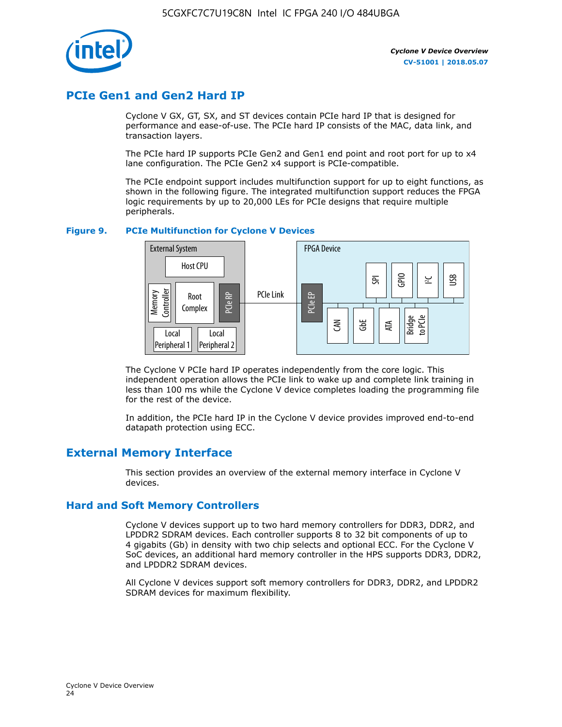

### **PCIe Gen1 and Gen2 Hard IP**

Cyclone V GX, GT, SX, and ST devices contain PCIe hard IP that is designed for performance and ease-of-use. The PCIe hard IP consists of the MAC, data link, and transaction layers.

The PCIe hard IP supports PCIe Gen2 and Gen1 end point and root port for up to x4 lane configuration. The PCIe Gen2 x4 support is PCIe-compatible.

The PCIe endpoint support includes multifunction support for up to eight functions, as shown in the following figure. The integrated multifunction support reduces the FPGA logic requirements by up to 20,000 LEs for PCIe designs that require multiple peripherals.

### **Figure 9. PCIe Multifunction for Cyclone V Devices**



The Cyclone V PCIe hard IP operates independently from the core logic. This independent operation allows the PCIe link to wake up and complete link training in less than 100 ms while the Cyclone V device completes loading the programming file for the rest of the device.

In addition, the PCIe hard IP in the Cyclone V device provides improved end-to-end datapath protection using ECC.

### **External Memory Interface**

This section provides an overview of the external memory interface in Cyclone V devices.

### **Hard and Soft Memory Controllers**

Cyclone V devices support up to two hard memory controllers for DDR3, DDR2, and LPDDR2 SDRAM devices. Each controller supports 8 to 32 bit components of up to 4 gigabits (Gb) in density with two chip selects and optional ECC. For the Cyclone V SoC devices, an additional hard memory controller in the HPS supports DDR3, DDR2, and LPDDR2 SDRAM devices.

All Cyclone V devices support soft memory controllers for DDR3, DDR2, and LPDDR2 SDRAM devices for maximum flexibility.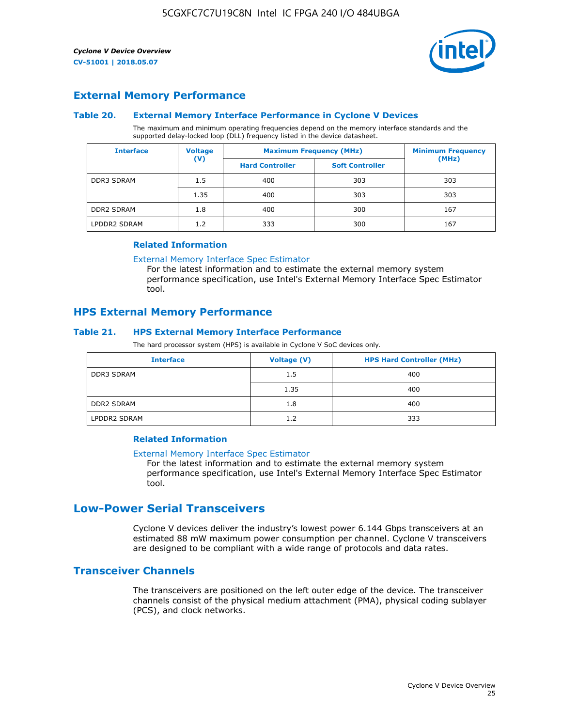

### **External Memory Performance**

### **Table 20. External Memory Interface Performance in Cyclone V Devices**

The maximum and minimum operating frequencies depend on the memory interface standards and the supported delay-locked loop (DLL) frequency listed in the device datasheet.

| <b>Voltage</b><br><b>Interface</b> |                | <b>Maximum Frequency (MHz)</b> | <b>Minimum Frequency</b> |       |  |
|------------------------------------|----------------|--------------------------------|--------------------------|-------|--|
|                                    | $(\mathsf{V})$ | <b>Hard Controller</b>         | <b>Soft Controller</b>   | (MHz) |  |
| <b>DDR3 SDRAM</b>                  | 1.5            | 400                            | 303                      | 303   |  |
|                                    | 1.35           | 400                            | 303                      | 303   |  |
| <b>DDR2 SDRAM</b>                  | 1.8            | 400                            | 300                      | 167   |  |
| LPDDR2 SDRAM                       | 1.2            | 333                            | 300                      | 167   |  |

#### **Related Information**

[External Memory Interface Spec Estimator](https://www.altera.com/solutions/technology/external-memory/spec-estimator.html)

For the latest information and to estimate the external memory system performance specification, use Intel's External Memory Interface Spec Estimator tool.

### **HPS External Memory Performance**

### **Table 21. HPS External Memory Interface Performance**

The hard processor system (HPS) is available in Cyclone V SoC devices only.

| <b>Interface</b>  | <b>Voltage (V)</b> | <b>HPS Hard Controller (MHz)</b> |
|-------------------|--------------------|----------------------------------|
| <b>DDR3 SDRAM</b> | 1.5                | 400                              |
|                   | 1.35               | 400                              |
| <b>DDR2 SDRAM</b> | 1.8                | 400                              |
| LPDDR2 SDRAM      | 1.2                | 333                              |

### **Related Information**

#### [External Memory Interface Spec Estimator](https://www.altera.com/solutions/technology/external-memory/spec-estimator.html)

For the latest information and to estimate the external memory system performance specification, use Intel's External Memory Interface Spec Estimator tool.

### **Low-Power Serial Transceivers**

Cyclone V devices deliver the industry's lowest power 6.144 Gbps transceivers at an estimated 88 mW maximum power consumption per channel. Cyclone V transceivers are designed to be compliant with a wide range of protocols and data rates.

### **Transceiver Channels**

The transceivers are positioned on the left outer edge of the device. The transceiver channels consist of the physical medium attachment (PMA), physical coding sublayer (PCS), and clock networks.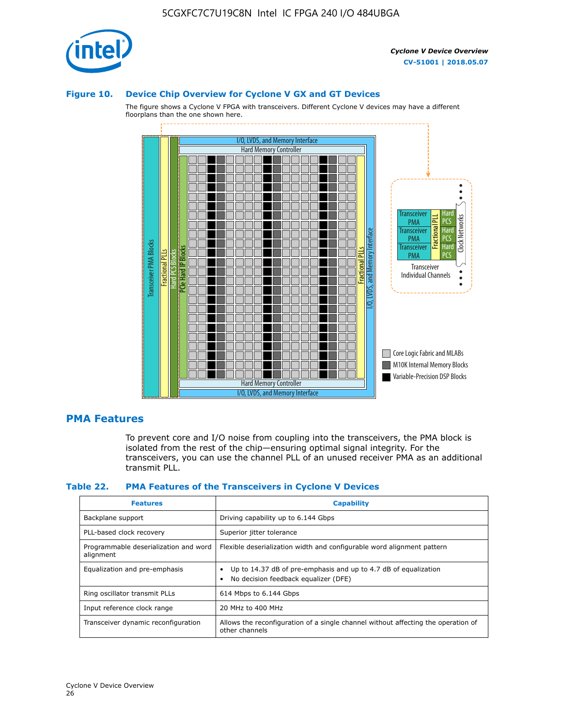

### **Figure 10. Device Chip Overview for Cyclone V GX and GT Devices**

The figure shows a Cyclone V FPGA with transceivers. Different Cyclone V devices may have a different floorplans than the one shown here.



### **PMA Features**

To prevent core and I/O noise from coupling into the transceivers, the PMA block is isolated from the rest of the chip—ensuring optimal signal integrity. For the transceivers, you can use the channel PLL of an unused receiver PMA as an additional transmit PLL.

#### **Table 22. PMA Features of the Transceivers in Cyclone V Devices**

| <b>Features</b>                                    | <b>Capability</b>                                                                                       |
|----------------------------------------------------|---------------------------------------------------------------------------------------------------------|
| Backplane support                                  | Driving capability up to 6.144 Gbps                                                                     |
| PLL-based clock recovery                           | Superior jitter tolerance                                                                               |
| Programmable deserialization and word<br>alignment | Flexible deserialization width and configurable word alignment pattern                                  |
| Equalization and pre-emphasis                      | Up to 14.37 dB of pre-emphasis and up to 4.7 dB of equalization<br>No decision feedback equalizer (DFE) |
| Ring oscillator transmit PLLs                      | 614 Mbps to 6.144 Gbps                                                                                  |
| Input reference clock range                        | 20 MHz to 400 MHz                                                                                       |
| Transceiver dynamic reconfiguration                | Allows the reconfiguration of a single channel without affecting the operation of<br>other channels     |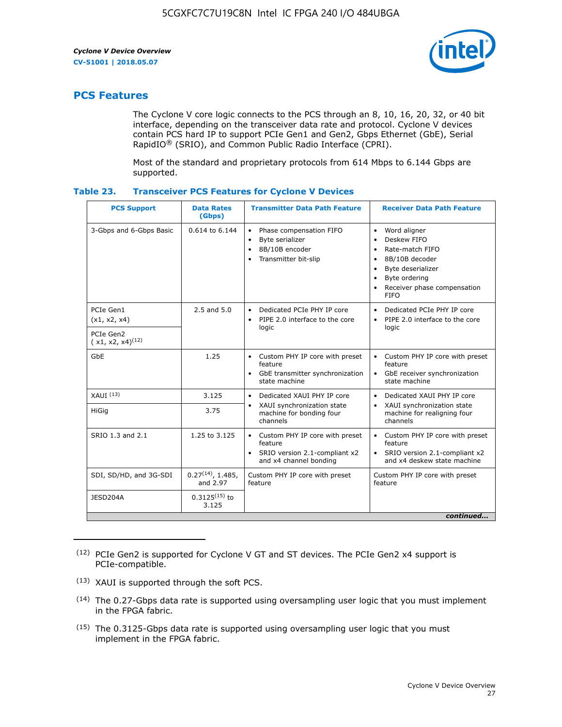

### **PCS Features**

The Cyclone V core logic connects to the PCS through an 8, 10, 16, 20, 32, or 40 bit interface, depending on the transceiver data rate and protocol. Cyclone V devices contain PCS hard IP to support PCIe Gen1 and Gen2, Gbps Ethernet (GbE), Serial RapidIO® (SRIO), and Common Public Radio Interface (CPRI).

Most of the standard and proprietary protocols from 614 Mbps to 6.144 Gbps are supported.

| Table 23. |  | <b>Transceiver PCS Features for Cyclone V Devices</b> |
|-----------|--|-------------------------------------------------------|
|           |  |                                                       |

| <b>PCS Support</b>                 | <b>Data Rates</b><br>(Gbps)        | <b>Transmitter Data Path Feature</b>                                                                         | <b>Receiver Data Path Feature</b>                                                                                                                                                                                                  |  |  |
|------------------------------------|------------------------------------|--------------------------------------------------------------------------------------------------------------|------------------------------------------------------------------------------------------------------------------------------------------------------------------------------------------------------------------------------------|--|--|
| 3-Gbps and 6-Gbps Basic            | 0.614 to 6.144                     | • Phase compensation FIFO<br>Byte serializer<br>8B/10B encoder<br>Transmitter bit-slip                       | Word aligner<br>$\bullet$<br>Deskew FIFO<br>$\bullet$<br>Rate-match FIFO<br>$\bullet$<br>8B/10B decoder<br>$\bullet$<br>Byte deserializer<br>$\bullet$<br>Byte ordering<br>$\bullet$<br>Receiver phase compensation<br><b>FIFO</b> |  |  |
| PCIe Gen1<br>(x1, x2, x4)          | $2.5$ and $5.0$                    | Dedicated PCIe PHY IP core<br>PIPE 2.0 interface to the core<br>$\bullet$<br>logic                           | Dedicated PCIe PHY IP core<br>$\bullet$<br>PIPE 2.0 interface to the core<br>$\bullet$<br>logic                                                                                                                                    |  |  |
| PCIe Gen2<br>$(x1, x2, x4)^{(12)}$ |                                    |                                                                                                              |                                                                                                                                                                                                                                    |  |  |
| GbE                                | 1.25                               | • Custom PHY IP core with preset<br>feature<br>GbE transmitter synchronization<br>$\bullet$<br>state machine | • Custom PHY IP core with preset<br>feature<br>GbE receiver synchronization<br>state machine                                                                                                                                       |  |  |
| $XAUI$ $(13)$                      | 3.125                              | Dedicated XAUI PHY IP core<br>$\bullet$                                                                      | Dedicated XAUI PHY IP core<br>$\bullet$                                                                                                                                                                                            |  |  |
| <b>HiGig</b>                       | 3.75                               | XAUI synchronization state<br>$\bullet$<br>machine for bonding four<br>channels                              | XAUI synchronization state<br>$\bullet$<br>machine for realigning four<br>channels                                                                                                                                                 |  |  |
| SRIO 1.3 and 2.1                   | 1.25 to 3.125                      | • Custom PHY IP core with preset<br>feature<br>• SRIO version 2.1-compliant x2<br>and x4 channel bonding     | • Custom PHY IP core with preset<br>feature<br>• SRIO version 2.1-compliant x2<br>and x4 deskew state machine                                                                                                                      |  |  |
| SDI, SD/HD, and 3G-SDI             | $0.27^{(14)}$ , 1.485,<br>and 2.97 | Custom PHY IP core with preset<br>feature                                                                    | Custom PHY IP core with preset<br>feature                                                                                                                                                                                          |  |  |
| JESD204A                           | $0.3125^{(15)}$ to<br>3.125        |                                                                                                              |                                                                                                                                                                                                                                    |  |  |
| continued                          |                                    |                                                                                                              |                                                                                                                                                                                                                                    |  |  |

<sup>(12)</sup> PCIe Gen2 is supported for Cyclone V GT and ST devices. The PCIe Gen2 x4 support is PCIe-compatible.

<sup>(13)</sup> XAUI is supported through the soft PCS.

<sup>(14)</sup> The 0.27-Gbps data rate is supported using oversampling user logic that you must implement in the FPGA fabric.

<sup>(15)</sup> The 0.3125-Gbps data rate is supported using oversampling user logic that you must implement in the FPGA fabric.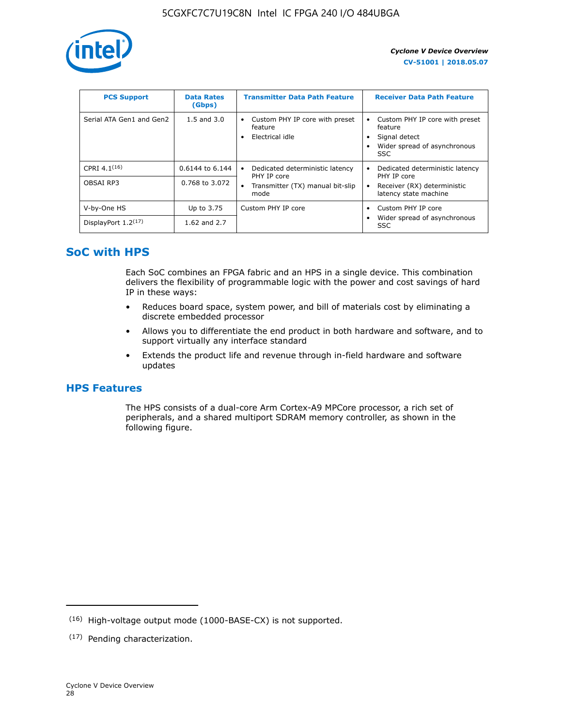

| <b>PCS Support</b>       | <b>Data Rates</b><br>(Gbps) | <b>Transmitter Data Path Feature</b>                         | <b>Receiver Data Path Feature</b>                                                                        |
|--------------------------|-----------------------------|--------------------------------------------------------------|----------------------------------------------------------------------------------------------------------|
| Serial ATA Gen1 and Gen2 | $1.5$ and $3.0$             | Custom PHY IP core with preset<br>feature<br>Electrical idle | Custom PHY IP core with preset<br>feature<br>Signal detect<br>Wider spread of asynchronous<br><b>SSC</b> |
| CPRI 4.1 $(16)$          | 0.6144 to 6.144             | Dedicated deterministic latency<br>٠<br>PHY IP core          | Dedicated deterministic latency<br>PHY IP core                                                           |
| OBSAI RP3                | 0.768 to 3.072              | Transmitter (TX) manual bit-slip<br>$\bullet$<br>mode        | Receiver (RX) deterministic<br>latency state machine                                                     |
| V-by-One HS              | Up to 3.75                  | Custom PHY IP core                                           | Custom PHY IP core                                                                                       |
| DisplayPort $1.2^{(17)}$ | 1.62 and 2.7                |                                                              | Wider spread of asynchronous<br>SSC                                                                      |

### **SoC with HPS**

Each SoC combines an FPGA fabric and an HPS in a single device. This combination delivers the flexibility of programmable logic with the power and cost savings of hard IP in these ways:

- Reduces board space, system power, and bill of materials cost by eliminating a discrete embedded processor
- Allows you to differentiate the end product in both hardware and software, and to support virtually any interface standard
- Extends the product life and revenue through in-field hardware and software updates

### **HPS Features**

The HPS consists of a dual-core Arm Cortex-A9 MPCore processor, a rich set of peripherals, and a shared multiport SDRAM memory controller, as shown in the following figure.

<sup>(16)</sup> High-voltage output mode (1000-BASE-CX) is not supported.

<sup>(17)</sup> Pending characterization.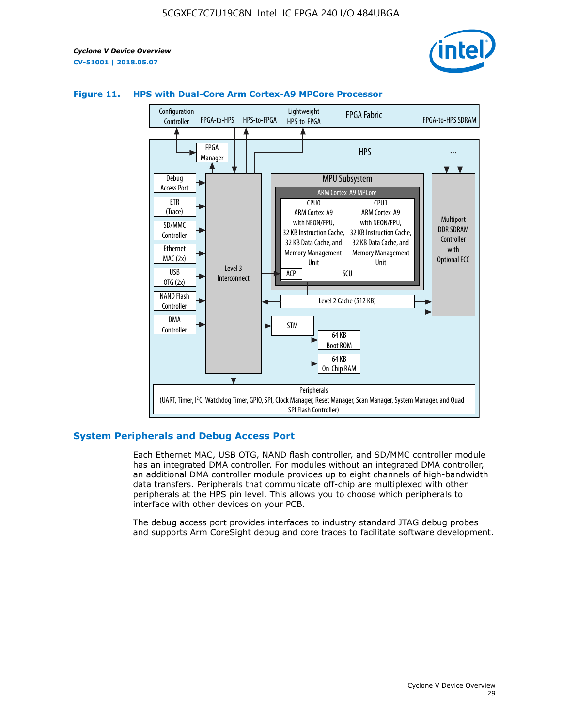



### **Figure 11. HPS with Dual-Core Arm Cortex-A9 MPCore Processor**

### **System Peripherals and Debug Access Port**

Each Ethernet MAC, USB OTG, NAND flash controller, and SD/MMC controller module has an integrated DMA controller. For modules without an integrated DMA controller, an additional DMA controller module provides up to eight channels of high-bandwidth data transfers. Peripherals that communicate off-chip are multiplexed with other peripherals at the HPS pin level. This allows you to choose which peripherals to interface with other devices on your PCB.

The debug access port provides interfaces to industry standard JTAG debug probes and supports Arm CoreSight debug and core traces to facilitate software development.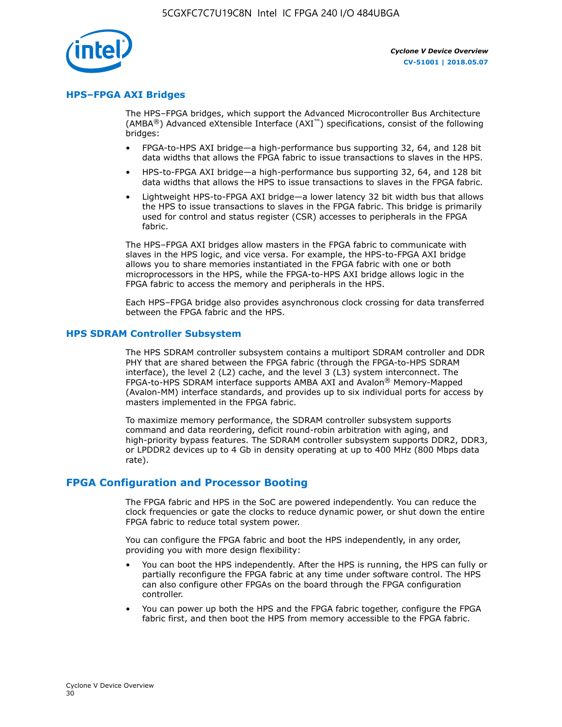

### **HPS–FPGA AXI Bridges**

The HPS–FPGA bridges, which support the Advanced Microcontroller Bus Architecture (AMBA<sup>®</sup>) Advanced eXtensible Interface (AXI<sup>™</sup>) specifications, consist of the following bridges:

- FPGA-to-HPS AXI bridge—a high-performance bus supporting 32, 64, and 128 bit data widths that allows the FPGA fabric to issue transactions to slaves in the HPS.
- HPS-to-FPGA AXI bridge—a high-performance bus supporting 32, 64, and 128 bit data widths that allows the HPS to issue transactions to slaves in the FPGA fabric.
- Lightweight HPS-to-FPGA AXI bridge—a lower latency 32 bit width bus that allows the HPS to issue transactions to slaves in the FPGA fabric. This bridge is primarily used for control and status register (CSR) accesses to peripherals in the FPGA fabric.

The HPS–FPGA AXI bridges allow masters in the FPGA fabric to communicate with slaves in the HPS logic, and vice versa. For example, the HPS-to-FPGA AXI bridge allows you to share memories instantiated in the FPGA fabric with one or both microprocessors in the HPS, while the FPGA-to-HPS AXI bridge allows logic in the FPGA fabric to access the memory and peripherals in the HPS.

Each HPS–FPGA bridge also provides asynchronous clock crossing for data transferred between the FPGA fabric and the HPS.

### **HPS SDRAM Controller Subsystem**

The HPS SDRAM controller subsystem contains a multiport SDRAM controller and DDR PHY that are shared between the FPGA fabric (through the FPGA-to-HPS SDRAM interface), the level 2 (L2) cache, and the level 3 (L3) system interconnect. The FPGA-to-HPS SDRAM interface supports AMBA AXI and Avalon® Memory-Mapped (Avalon-MM) interface standards, and provides up to six individual ports for access by masters implemented in the FPGA fabric.

To maximize memory performance, the SDRAM controller subsystem supports command and data reordering, deficit round-robin arbitration with aging, and high-priority bypass features. The SDRAM controller subsystem supports DDR2, DDR3, or LPDDR2 devices up to 4 Gb in density operating at up to 400 MHz (800 Mbps data rate).

### **FPGA Configuration and Processor Booting**

The FPGA fabric and HPS in the SoC are powered independently. You can reduce the clock frequencies or gate the clocks to reduce dynamic power, or shut down the entire FPGA fabric to reduce total system power.

You can configure the FPGA fabric and boot the HPS independently, in any order, providing you with more design flexibility:

- You can boot the HPS independently. After the HPS is running, the HPS can fully or partially reconfigure the FPGA fabric at any time under software control. The HPS can also configure other FPGAs on the board through the FPGA configuration controller.
- You can power up both the HPS and the FPGA fabric together, configure the FPGA fabric first, and then boot the HPS from memory accessible to the FPGA fabric.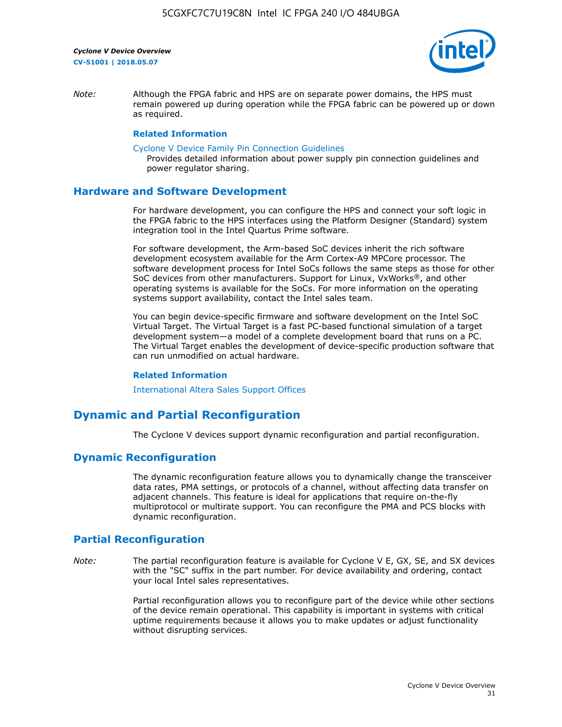

*Note:* Although the FPGA fabric and HPS are on separate power domains, the HPS must remain powered up during operation while the FPGA fabric can be powered up or down as required.

### **Related Information**

[Cyclone V Device Family Pin Connection Guidelines](https://www.altera.com/content/dam/altera-www/global/en_US/pdfs/literature/dp/cyclone-v/pcg-01014.pdf)

Provides detailed information about power supply pin connection guidelines and power regulator sharing.

### **Hardware and Software Development**

For hardware development, you can configure the HPS and connect your soft logic in the FPGA fabric to the HPS interfaces using the Platform Designer (Standard) system integration tool in the Intel Quartus Prime software.

For software development, the Arm-based SoC devices inherit the rich software development ecosystem available for the Arm Cortex-A9 MPCore processor. The software development process for Intel SoCs follows the same steps as those for other SoC devices from other manufacturers. Support for Linux, VxWorks®, and other operating systems is available for the SoCs. For more information on the operating systems support availability, contact the Intel sales team.

You can begin device-specific firmware and software development on the Intel SoC Virtual Target. The Virtual Target is a fast PC-based functional simulation of a target development system—a model of a complete development board that runs on a PC. The Virtual Target enables the development of device-specific production software that can run unmodified on actual hardware.

#### **Related Information**

[International Altera Sales Support Offices](https://www.altera.com/about/contact/contact/international-altera-sales-offices.html)

### **Dynamic and Partial Reconfiguration**

The Cyclone V devices support dynamic reconfiguration and partial reconfiguration.

### **Dynamic Reconfiguration**

The dynamic reconfiguration feature allows you to dynamically change the transceiver data rates, PMA settings, or protocols of a channel, without affecting data transfer on adjacent channels. This feature is ideal for applications that require on-the-fly multiprotocol or multirate support. You can reconfigure the PMA and PCS blocks with dynamic reconfiguration.

### **Partial Reconfiguration**

*Note:* The partial reconfiguration feature is available for Cyclone V E, GX, SE, and SX devices with the "SC" suffix in the part number. For device availability and ordering, contact your local Intel sales representatives.

> Partial reconfiguration allows you to reconfigure part of the device while other sections of the device remain operational. This capability is important in systems with critical uptime requirements because it allows you to make updates or adjust functionality without disrupting services.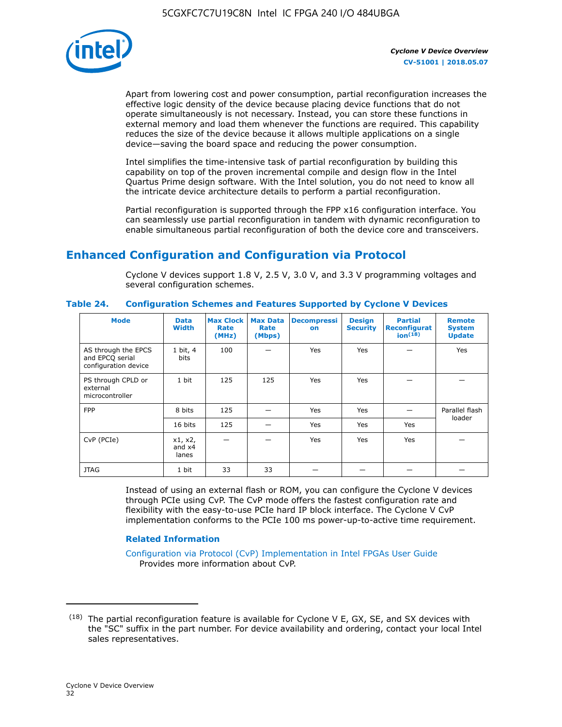

Apart from lowering cost and power consumption, partial reconfiguration increases the effective logic density of the device because placing device functions that do not operate simultaneously is not necessary. Instead, you can store these functions in external memory and load them whenever the functions are required. This capability reduces the size of the device because it allows multiple applications on a single device—saving the board space and reducing the power consumption.

Intel simplifies the time-intensive task of partial reconfiguration by building this capability on top of the proven incremental compile and design flow in the Intel Quartus Prime design software. With the Intel solution, you do not need to know all the intricate device architecture details to perform a partial reconfiguration.

Partial reconfiguration is supported through the FPP x16 configuration interface. You can seamlessly use partial reconfiguration in tandem with dynamic reconfiguration to enable simultaneous partial reconfiguration of both the device core and transceivers.

### **Enhanced Configuration and Configuration via Protocol**

Cyclone V devices support 1.8 V, 2.5 V, 3.0 V, and 3.3 V programming voltages and several configuration schemes.

| <b>Mode</b>                                                    | <b>Data</b><br>Width         | Max Clock  <br>Rate<br>(MHz) | <b>Max Data</b><br>Rate<br>(Mbps) | <b>Decompressi</b><br>on | <b>Design</b><br><b>Security</b> | <b>Partial</b><br><b>Reconfigurat</b><br>ion <sup>(18)</sup> | <b>Remote</b><br><b>System</b><br><b>Update</b> |
|----------------------------------------------------------------|------------------------------|------------------------------|-----------------------------------|--------------------------|----------------------------------|--------------------------------------------------------------|-------------------------------------------------|
| AS through the EPCS<br>and EPCQ serial<br>configuration device | 1 bit, 4<br>bits             | 100                          |                                   | Yes                      | Yes                              |                                                              | <b>Yes</b>                                      |
| PS through CPLD or<br>external<br>microcontroller              | 1 bit                        | 125                          | 125                               | Yes                      | Yes                              |                                                              |                                                 |
| <b>FPP</b>                                                     | 8 bits                       | 125                          |                                   | Yes                      | Yes                              |                                                              | Parallel flash<br>loader                        |
|                                                                | 16 bits                      | 125                          |                                   | Yes                      | Yes                              | Yes                                                          |                                                 |
| CvP (PCIe)                                                     | x1, x2,<br>and $x4$<br>lanes |                              |                                   | Yes                      | Yes                              | Yes                                                          |                                                 |
| <b>JTAG</b>                                                    | 1 bit                        | 33                           | 33                                |                          |                                  |                                                              |                                                 |

**Table 24. Configuration Schemes and Features Supported by Cyclone V Devices**

Instead of using an external flash or ROM, you can configure the Cyclone V devices through PCIe using CvP. The CvP mode offers the fastest configuration rate and flexibility with the easy-to-use PCIe hard IP block interface. The Cyclone V CvP implementation conforms to the PCIe 100 ms power-up-to-active time requirement.

### **Related Information**

[Configuration via Protocol \(CvP\) Implementation in Intel FPGAs User Guide](https://www.altera.com/documentation/nik1412546950394.html#nik1412546833714) Provides more information about CvP.

 $(18)$  The partial reconfiguration feature is available for Cyclone V E, GX, SE, and SX devices with the "SC" suffix in the part number. For device availability and ordering, contact your local Intel sales representatives.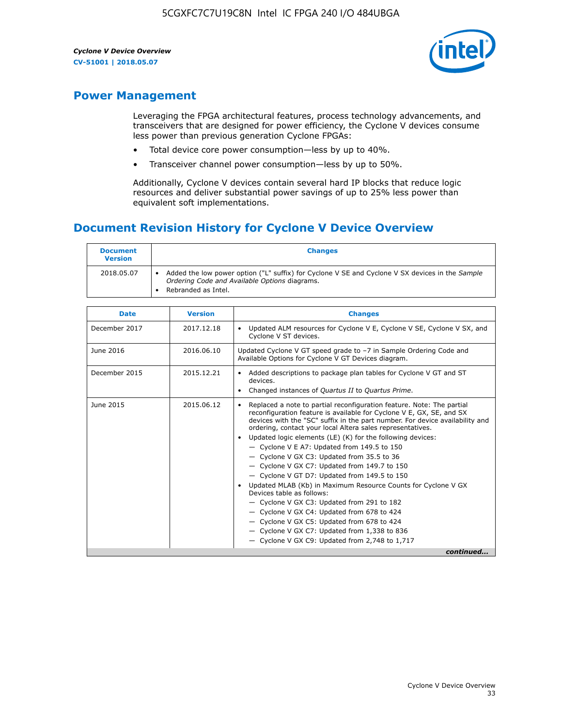

### **Power Management**

Leveraging the FPGA architectural features, process technology advancements, and transceivers that are designed for power efficiency, the Cyclone V devices consume less power than previous generation Cyclone FPGAs:

- Total device core power consumption—less by up to 40%.
- Transceiver channel power consumption—less by up to 50%.

Additionally, Cyclone V devices contain several hard IP blocks that reduce logic resources and deliver substantial power savings of up to 25% less power than equivalent soft implementations.

### **Document Revision History for Cyclone V Device Overview**

| <b>Document</b><br><b>Version</b> | <b>Changes</b>                                                                                                                                                          |
|-----------------------------------|-------------------------------------------------------------------------------------------------------------------------------------------------------------------------|
| 2018.05.07                        | Added the low power option ("L" suffix) for Cyclone V SE and Cyclone V SX devices in the Sample<br>Ordering Code and Available Options diagrams.<br>Rebranded as Intel. |

| <b>Date</b>   | <b>Version</b> | <b>Changes</b>                                                                                                                                                                                                                                                                                                                                                                                                                                                                                                                                                                                                                                                                                                                                                                                                                                                                                                  |
|---------------|----------------|-----------------------------------------------------------------------------------------------------------------------------------------------------------------------------------------------------------------------------------------------------------------------------------------------------------------------------------------------------------------------------------------------------------------------------------------------------------------------------------------------------------------------------------------------------------------------------------------------------------------------------------------------------------------------------------------------------------------------------------------------------------------------------------------------------------------------------------------------------------------------------------------------------------------|
| December 2017 | 2017.12.18     | Updated ALM resources for Cyclone V E, Cyclone V SE, Cyclone V SX, and<br>Cyclone V ST devices.                                                                                                                                                                                                                                                                                                                                                                                                                                                                                                                                                                                                                                                                                                                                                                                                                 |
| June 2016     | 2016.06.10     | Updated Cyclone V GT speed grade to -7 in Sample Ordering Code and<br>Available Options for Cyclone V GT Devices diagram.                                                                                                                                                                                                                                                                                                                                                                                                                                                                                                                                                                                                                                                                                                                                                                                       |
| December 2015 | 2015.12.21     | Added descriptions to package plan tables for Cyclone V GT and ST<br>devices.<br>Changed instances of Quartus II to Quartus Prime.                                                                                                                                                                                                                                                                                                                                                                                                                                                                                                                                                                                                                                                                                                                                                                              |
| June 2015     | 2015.06.12     | Replaced a note to partial reconfiguration feature. Note: The partial<br>reconfiguration feature is available for Cyclone V E, GX, SE, and SX<br>devices with the "SC" suffix in the part number. For device availability and<br>ordering, contact your local Altera sales representatives.<br>Updated logic elements (LE) (K) for the following devices:<br>$\bullet$<br>- Cyclone V E A7: Updated from 149.5 to 150<br>- Cyclone V GX C3: Updated from 35.5 to 36<br>- Cyclone V GX C7: Updated from 149.7 to 150<br>- Cyclone V GT D7: Updated from 149.5 to 150<br>Updated MLAB (Kb) in Maximum Resource Counts for Cyclone V GX<br>Devices table as follows:<br>- Cyclone V GX C3: Updated from 291 to 182<br>- Cyclone V GX C4: Updated from 678 to 424<br>- Cyclone V GX C5: Updated from 678 to 424<br>- Cyclone V GX C7: Updated from 1,338 to 836<br>$-$ Cyclone V GX C9: Updated from 2,748 to 1,717 |
|               |                | continued                                                                                                                                                                                                                                                                                                                                                                                                                                                                                                                                                                                                                                                                                                                                                                                                                                                                                                       |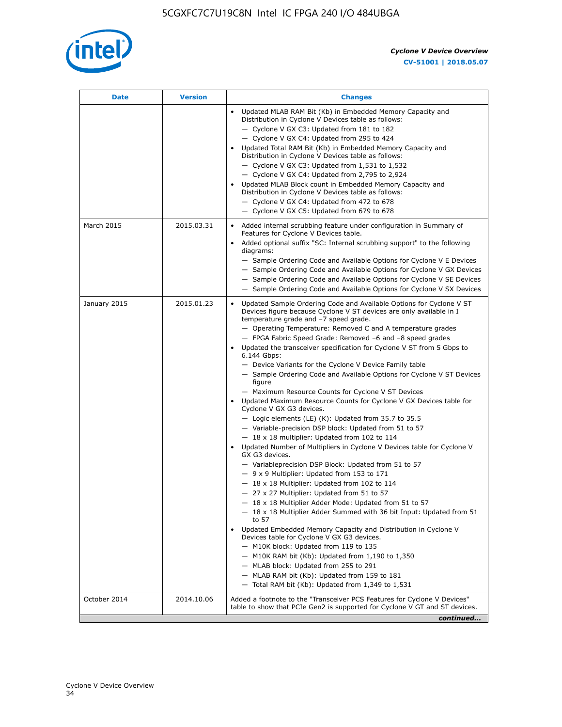

| <b>Date</b>  | <b>Version</b> | <b>Changes</b>                                                                                                                                                                                                                                                                                                                                                                                                                                                                                                                                                                                                                                                                                                                                                                                                                                                                                                                                                                                                                                                                                                                                                                                                                                                                                                                                                                                                                                                                                                                                                                                                                                                                                                  |
|--------------|----------------|-----------------------------------------------------------------------------------------------------------------------------------------------------------------------------------------------------------------------------------------------------------------------------------------------------------------------------------------------------------------------------------------------------------------------------------------------------------------------------------------------------------------------------------------------------------------------------------------------------------------------------------------------------------------------------------------------------------------------------------------------------------------------------------------------------------------------------------------------------------------------------------------------------------------------------------------------------------------------------------------------------------------------------------------------------------------------------------------------------------------------------------------------------------------------------------------------------------------------------------------------------------------------------------------------------------------------------------------------------------------------------------------------------------------------------------------------------------------------------------------------------------------------------------------------------------------------------------------------------------------------------------------------------------------------------------------------------------------|
|              |                | Updated MLAB RAM Bit (Kb) in Embedded Memory Capacity and<br>Distribution in Cyclone V Devices table as follows:<br>- Cyclone V GX C3: Updated from 181 to 182<br>- Cyclone V GX C4: Updated from 295 to 424<br>Updated Total RAM Bit (Kb) in Embedded Memory Capacity and<br>Distribution in Cyclone V Devices table as follows:<br>$-$ Cyclone V GX C3: Updated from 1,531 to 1,532<br>- Cyclone V GX C4: Updated from 2,795 to 2,924<br>Updated MLAB Block count in Embedded Memory Capacity and<br>Distribution in Cyclone V Devices table as follows:<br>- Cyclone V GX C4: Updated from 472 to 678<br>- Cyclone V GX C5: Updated from 679 to 678                                                                                                                                                                                                                                                                                                                                                                                                                                                                                                                                                                                                                                                                                                                                                                                                                                                                                                                                                                                                                                                          |
| March 2015   | 2015.03.31     | Added internal scrubbing feature under configuration in Summary of<br>$\bullet$<br>Features for Cyclone V Devices table.<br>Added optional suffix "SC: Internal scrubbing support" to the following<br>diagrams:<br>- Sample Ordering Code and Available Options for Cyclone V E Devices<br>- Sample Ordering Code and Available Options for Cyclone V GX Devices<br>- Sample Ordering Code and Available Options for Cyclone V SE Devices<br>- Sample Ordering Code and Available Options for Cyclone V SX Devices                                                                                                                                                                                                                                                                                                                                                                                                                                                                                                                                                                                                                                                                                                                                                                                                                                                                                                                                                                                                                                                                                                                                                                                             |
| January 2015 | 2015.01.23     | Updated Sample Ordering Code and Available Options for Cyclone V ST<br>Devices figure because Cyclone V ST devices are only available in I<br>temperature grade and -7 speed grade.<br>- Operating Temperature: Removed C and A temperature grades<br>- FPGA Fabric Speed Grade: Removed -6 and -8 speed grades<br>Updated the transceiver specification for Cyclone V ST from 5 Gbps to<br>6.144 Gbps:<br>- Device Variants for the Cyclone V Device Family table<br>- Sample Ordering Code and Available Options for Cyclone V ST Devices<br>figure<br>- Maximum Resource Counts for Cyclone V ST Devices<br>Updated Maximum Resource Counts for Cyclone V GX Devices table for<br>Cyclone V GX G3 devices.<br>$-$ Logic elements (LE) (K): Updated from 35.7 to 35.5<br>- Variable-precision DSP block: Updated from 51 to 57<br>$-18 \times 18$ multiplier: Updated from 102 to 114<br>Updated Number of Multipliers in Cyclone V Devices table for Cyclone V<br>GX G3 devices.<br>- Variableprecision DSP Block: Updated from 51 to 57<br>$-9x9$ Multiplier: Updated from 153 to 171<br>$-18 \times 18$ Multiplier: Updated from 102 to 114<br>- 27 x 27 Multiplier: Updated from 51 to 57<br>- 18 x 18 Multiplier Adder Mode: Updated from 51 to 57<br>$-18 \times 18$ Multiplier Adder Summed with 36 bit Input: Updated from 51<br>to 57<br>Updated Embedded Memory Capacity and Distribution in Cyclone V<br>Devices table for Cyclone V GX G3 devices.<br>- M10K block: Updated from 119 to 135<br>$-$ M10K RAM bit (Kb): Updated from 1,190 to 1,350<br>- MLAB block: Updated from 255 to 291<br>- MLAB RAM bit (Kb): Updated from 159 to 181<br>$-$ Total RAM bit (Kb): Updated from 1,349 to 1,531 |
| October 2014 | 2014.10.06     | Added a footnote to the "Transceiver PCS Features for Cyclone V Devices"<br>table to show that PCIe Gen2 is supported for Cyclone V GT and ST devices.                                                                                                                                                                                                                                                                                                                                                                                                                                                                                                                                                                                                                                                                                                                                                                                                                                                                                                                                                                                                                                                                                                                                                                                                                                                                                                                                                                                                                                                                                                                                                          |
|              |                | continued                                                                                                                                                                                                                                                                                                                                                                                                                                                                                                                                                                                                                                                                                                                                                                                                                                                                                                                                                                                                                                                                                                                                                                                                                                                                                                                                                                                                                                                                                                                                                                                                                                                                                                       |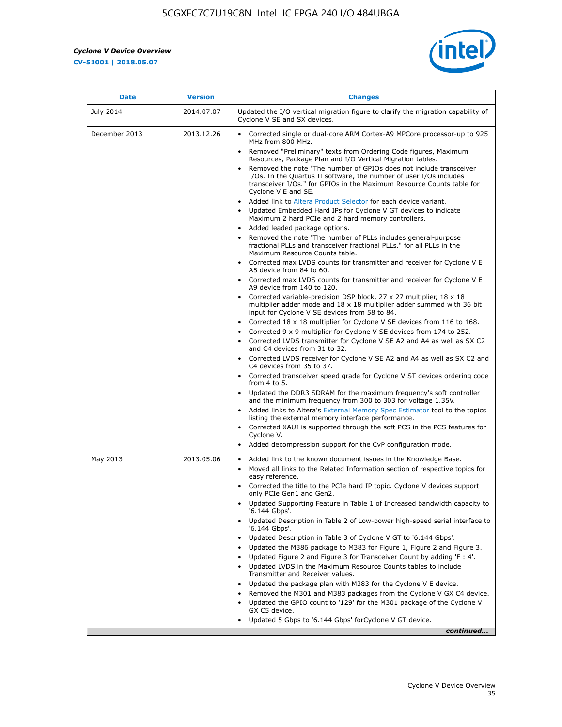$\overline{\mathbf{r}}$ 

 $\mathsf{r}$ 



| <b>Date</b>      | <b>Version</b> | <b>Changes</b>                                                                                                                                                                                                                                                                                                                                                                                                                                                                                                                                                                                                                                                                                                                                                                                                                                                                                                                                                                                                                                                                                                                                                                                          |
|------------------|----------------|---------------------------------------------------------------------------------------------------------------------------------------------------------------------------------------------------------------------------------------------------------------------------------------------------------------------------------------------------------------------------------------------------------------------------------------------------------------------------------------------------------------------------------------------------------------------------------------------------------------------------------------------------------------------------------------------------------------------------------------------------------------------------------------------------------------------------------------------------------------------------------------------------------------------------------------------------------------------------------------------------------------------------------------------------------------------------------------------------------------------------------------------------------------------------------------------------------|
| <b>July 2014</b> | 2014.07.07     | Updated the I/O vertical migration figure to clarify the migration capability of<br>Cyclone V SE and SX devices.                                                                                                                                                                                                                                                                                                                                                                                                                                                                                                                                                                                                                                                                                                                                                                                                                                                                                                                                                                                                                                                                                        |
| December 2013    | 2013.12.26     | • Corrected single or dual-core ARM Cortex-A9 MPCore processor-up to 925<br>MHz from 800 MHz.<br>Removed "Preliminary" texts from Ordering Code figures, Maximum<br>$\bullet$<br>Resources, Package Plan and I/O Vertical Migration tables.<br>Removed the note "The number of GPIOs does not include transceiver<br>I/Os. In the Quartus II software, the number of user I/Os includes<br>transceiver I/Os." for GPIOs in the Maximum Resource Counts table for<br>Cyclone V E and SE.<br>Added link to Altera Product Selector for each device variant.<br>• Updated Embedded Hard IPs for Cyclone V GT devices to indicate<br>Maximum 2 hard PCIe and 2 hard memory controllers.<br>• Added leaded package options.<br>Removed the note "The number of PLLs includes general-purpose<br>fractional PLLs and transceiver fractional PLLs." for all PLLs in the<br>Maximum Resource Counts table.<br>• Corrected max LVDS counts for transmitter and receiver for Cyclone V E<br>A5 device from 84 to 60.<br>• Corrected max LVDS counts for transmitter and receiver for Cyclone V E                                                                                                                  |
|                  |                | A9 device from 140 to 120.<br>Corrected variable-precision DSP block, 27 x 27 multiplier, 18 x 18<br>multiplier adder mode and $18 \times 18$ multiplier adder summed with 36 bit<br>input for Cyclone V SE devices from 58 to 84.<br>Corrected 18 x 18 multiplier for Cyclone V SE devices from 116 to 168.<br>Corrected 9 x 9 multiplier for Cyclone V SE devices from 174 to 252.<br>Corrected LVDS transmitter for Cyclone V SE A2 and A4 as well as SX C2<br>and C4 devices from 31 to 32.<br>• Corrected LVDS receiver for Cyclone V SE A2 and A4 as well as SX C2 and<br>C4 devices from 35 to 37.<br>• Corrected transceiver speed grade for Cyclone V ST devices ordering code<br>from $4$ to $5$ .<br>• Updated the DDR3 SDRAM for the maximum frequency's soft controller<br>and the minimum frequency from 300 to 303 for voltage 1.35V.<br>• Added links to Altera's External Memory Spec Estimator tool to the topics<br>listing the external memory interface performance.<br>• Corrected XAUI is supported through the soft PCS in the PCS features for<br>Cyclone V.<br>Added decompression support for the CvP configuration mode.                                                    |
| May 2013         | 2013.05.06     | Added link to the known document issues in the Knowledge Base.<br>$\bullet$<br>Moved all links to the Related Information section of respective topics for<br>$\bullet$<br>easy reference.<br>• Corrected the title to the PCIe hard IP topic. Cyclone V devices support<br>only PCIe Gen1 and Gen2.<br>Updated Supporting Feature in Table 1 of Increased bandwidth capacity to<br>$\bullet$<br>'6.144 Gbps'.<br>Updated Description in Table 2 of Low-power high-speed serial interface to<br>'6.144 Gbps'.<br>Updated Description in Table 3 of Cyclone V GT to '6.144 Gbps'.<br>Updated the M386 package to M383 for Figure 1, Figure 2 and Figure 3.<br>$\bullet$<br>Updated Figure 2 and Figure 3 for Transceiver Count by adding 'F : 4'.<br>$\bullet$<br>Updated LVDS in the Maximum Resource Counts tables to include<br>Transmitter and Receiver values.<br>Updated the package plan with M383 for the Cyclone V E device.<br>$\bullet$<br>Removed the M301 and M383 packages from the Cyclone V GX C4 device.<br>Updated the GPIO count to '129' for the M301 package of the Cyclone V<br>$\bullet$<br>GX C5 device.<br>Updated 5 Gbps to '6.144 Gbps' for Cyclone V GT device.<br>continued |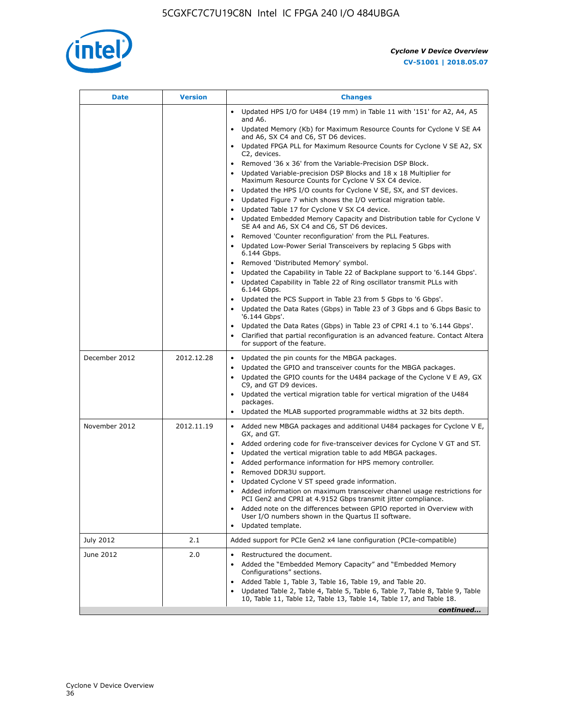

| Date          | <b>Version</b> | <b>Changes</b>                                                                                                                                                                                                                                                                                                                                                                                                                                                                                                                                                                                                                                                                                                                                                                                                                                                                                                                                |
|---------------|----------------|-----------------------------------------------------------------------------------------------------------------------------------------------------------------------------------------------------------------------------------------------------------------------------------------------------------------------------------------------------------------------------------------------------------------------------------------------------------------------------------------------------------------------------------------------------------------------------------------------------------------------------------------------------------------------------------------------------------------------------------------------------------------------------------------------------------------------------------------------------------------------------------------------------------------------------------------------|
|               |                | Updated HPS I/O for U484 (19 mm) in Table 11 with '151' for A2, A4, A5<br>$\bullet$<br>and A6.                                                                                                                                                                                                                                                                                                                                                                                                                                                                                                                                                                                                                                                                                                                                                                                                                                                |
|               |                | Updated Memory (Kb) for Maximum Resource Counts for Cyclone V SE A4<br>and A6, SX C4 and C6, ST D6 devices.                                                                                                                                                                                                                                                                                                                                                                                                                                                                                                                                                                                                                                                                                                                                                                                                                                   |
|               |                | Updated FPGA PLL for Maximum Resource Counts for Cyclone V SE A2, SX<br>C2, devices.                                                                                                                                                                                                                                                                                                                                                                                                                                                                                                                                                                                                                                                                                                                                                                                                                                                          |
|               |                | Removed '36 x 36' from the Variable-Precision DSP Block.<br>Updated Variable-precision DSP Blocks and 18 x 18 Multiplier for<br>Maximum Resource Counts for Cyclone V SX C4 device.<br>Updated the HPS I/O counts for Cyclone V SE, SX, and ST devices.<br>Updated Figure 7 which shows the I/O vertical migration table.<br>Updated Table 17 for Cyclone V SX C4 device.<br>$\bullet$<br>• Updated Embedded Memory Capacity and Distribution table for Cyclone V<br>SE A4 and A6, SX C4 and C6, ST D6 devices.<br>• Removed 'Counter reconfiguration' from the PLL Features.<br>Updated Low-Power Serial Transceivers by replacing 5 Gbps with<br>6.144 Gbps.<br>• Removed 'Distributed Memory' symbol.<br>Updated the Capability in Table 22 of Backplane support to '6.144 Gbps'.<br>• Updated Capability in Table 22 of Ring oscillator transmit PLLs with<br>6.144 Gbps.<br>Updated the PCS Support in Table 23 from 5 Gbps to '6 Gbps'. |
|               |                | Updated the Data Rates (Gbps) in Table 23 of 3 Gbps and 6 Gbps Basic to<br>'6.144 Gbps'.                                                                                                                                                                                                                                                                                                                                                                                                                                                                                                                                                                                                                                                                                                                                                                                                                                                      |
|               |                | Updated the Data Rates (Gbps) in Table 23 of CPRI 4.1 to '6.144 Gbps'.<br>Clarified that partial reconfiguration is an advanced feature. Contact Altera<br>for support of the feature.                                                                                                                                                                                                                                                                                                                                                                                                                                                                                                                                                                                                                                                                                                                                                        |
| December 2012 | 2012.12.28     | Updated the pin counts for the MBGA packages.<br>$\bullet$<br>Updated the GPIO and transceiver counts for the MBGA packages.<br>Updated the GPIO counts for the U484 package of the Cyclone V E A9, GX<br>C9, and GT D9 devices.<br>• Updated the vertical migration table for vertical migration of the U484<br>packages.<br>Updated the MLAB supported programmable widths at 32 bits depth.                                                                                                                                                                                                                                                                                                                                                                                                                                                                                                                                                |
| November 2012 | 2012.11.19     | • Added new MBGA packages and additional U484 packages for Cyclone V E,<br>GX, and GT.<br>• Added ordering code for five-transceiver devices for Cyclone V GT and ST.<br>Updated the vertical migration table to add MBGA packages.<br>٠<br>Added performance information for HPS memory controller.<br>$\bullet$<br>Removed DDR3U support.<br>$\bullet$<br>Updated Cyclone V ST speed grade information.<br>Added information on maximum transceiver channel usage restrictions for<br>PCI Gen2 and CPRI at 4.9152 Gbps transmit jitter compliance.<br>Added note on the differences between GPIO reported in Overview with<br>User I/O numbers shown in the Quartus II software.<br>Updated template.                                                                                                                                                                                                                                       |
| July 2012     | 2.1            | Added support for PCIe Gen2 x4 lane configuration (PCIe-compatible)                                                                                                                                                                                                                                                                                                                                                                                                                                                                                                                                                                                                                                                                                                                                                                                                                                                                           |
| June 2012     | 2.0            | Restructured the document.<br>٠<br>Added the "Embedded Memory Capacity" and "Embedded Memory<br>Configurations" sections.<br>Added Table 1, Table 3, Table 16, Table 19, and Table 20.<br>$\bullet$<br>Updated Table 2, Table 4, Table 5, Table 6, Table 7, Table 8, Table 9, Table<br>10, Table 11, Table 12, Table 13, Table 14, Table 17, and Table 18.                                                                                                                                                                                                                                                                                                                                                                                                                                                                                                                                                                                    |
|               |                | continued                                                                                                                                                                                                                                                                                                                                                                                                                                                                                                                                                                                                                                                                                                                                                                                                                                                                                                                                     |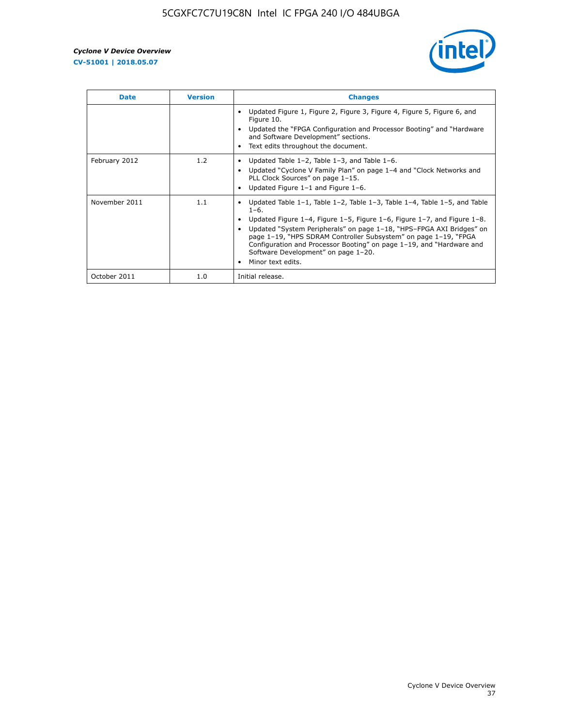

| <b>Date</b>   | <b>Version</b> | <b>Changes</b>                                                                                                                                                                                                                                                                                                                                                                                                                                                              |
|---------------|----------------|-----------------------------------------------------------------------------------------------------------------------------------------------------------------------------------------------------------------------------------------------------------------------------------------------------------------------------------------------------------------------------------------------------------------------------------------------------------------------------|
|               |                | Updated Figure 1, Figure 2, Figure 3, Figure 4, Figure 5, Figure 6, and<br>Figure 10.<br>Updated the "FPGA Configuration and Processor Booting" and "Hardware"<br>and Software Development" sections.<br>Text edits throughout the document.                                                                                                                                                                                                                                |
| February 2012 | 1.2            | Updated Table $1-2$ , Table $1-3$ , and Table $1-6$ .<br>Updated "Cyclone V Family Plan" on page 1-4 and "Clock Networks and<br>PLL Clock Sources" on page 1-15.<br>Updated Figure 1-1 and Figure 1-6.                                                                                                                                                                                                                                                                      |
| November 2011 | 1.1            | Updated Table $1-1$ , Table $1-2$ , Table $1-3$ , Table $1-4$ , Table $1-5$ , and Table<br>$1 - 6$ .<br>Updated Figure 1–4, Figure 1–5, Figure 1–6, Figure 1–7, and Figure 1–8.<br>Updated "System Peripherals" on page 1-18, "HPS-FPGA AXI Bridges" on<br>page 1-19, "HPS SDRAM Controller Subsystem" on page 1-19, "FPGA<br>Configuration and Processor Booting" on page 1-19, and "Hardware and<br>Software Development" on page 1-20.<br>Minor text edits.<br>$\bullet$ |
| October 2011  | 1.0            | Initial release.                                                                                                                                                                                                                                                                                                                                                                                                                                                            |